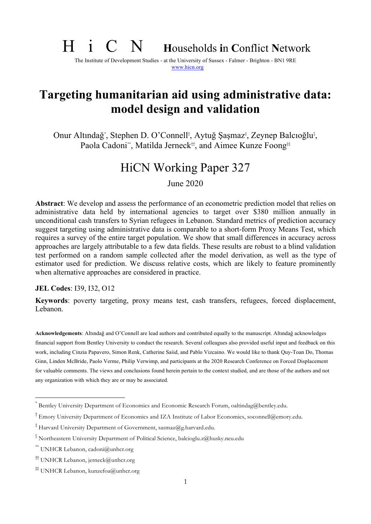# H i C N **<sup>H</sup>**ouseholds **i**n **C**onflict **<sup>N</sup>**etwork

The Institute of Development Studies - at the University of Sussex - Falmer - Brighton - BN1 9RE www.hicn.org

## **Targeting humanitarian aid using administrative data: model design and validation**

Onur Altındağ<sup>\*</sup>, Stephen D. O'Connell<sup>†</sup>, Aytuğ Şaşmaz<sup>‡</sup>, Zeynep Balcıoğlu<sup>ş</sup>, Paola Cadoni\*\*, Matilda Jerneck<sup>#†</sup>, and Aimee Kunze Foong<sup>#</sup>

## HiCN Working Paper 327

June 2020

**Abstract**: We develop and assess the performance of an econometric prediction model that relies on administrative data held by international agencies to target over \$380 million annually in unconditional cash transfers to Syrian refugees in Lebanon. Standard metrics of prediction accuracy suggest targeting using administrative data is comparable to a short-form Proxy Means Test, which requires a survey of the entire target population. We show that small differences in accuracy across approaches are largely attributable to a few data fields. These results are robust to a blind validation test performed on a random sample collected after the model derivation, as well as the type of estimator used for prediction. We discuss relative costs, which are likely to feature prominently when alternative approaches are considered in practice.

**JEL Codes**: I39, I32, O12

**Keywords**: poverty targeting, proxy means test, cash transfers, refugees, forced displacement, Lebanon.

**Acknowledgements**: Altındağ and O'Connell are lead authors and contributed equally to the manuscript. Altındağ acknowledges financial support from Bentley University to conduct the research. Several colleagues also provided useful input and feedback on this work, including Cinzia Papavero, Simon Renk, Catherine Saiid, and Pablo Vizcaino. We would like to thank Quy-Toan Do, Thomas Ginn, Linden McBride, Paolo Verme, Philip Verwimp, and participants at the 2020 Research Conference on Forced Displacement for valuable comments. The views and conclusions found herein pertain to the context studied, and are those of the authors and not any organization with which they are or may be associated.

Bentley University Department of Economics and Economic Research Forum, oaltindag@bentley.edu.

<sup>†</sup> Emory University Department of Economics and IZA Institute of Labor Economics, soconnell@emory.edu.

<sup>‡</sup> Harvard University Department of Government, sasmaz@g.harvard.edu.

<sup>§</sup> Northeastern University Department of Political Science, balcioglu.z@husky.neu.edu

<sup>\*\*</sup> UNHCR Lebanon, cadoni@unhcr.org

<sup>††</sup> UNHCR Lebanon, jerneck@unhcr.org

<sup>‡‡</sup> UNHCR Lebanon, kunzefoa@unhcr.org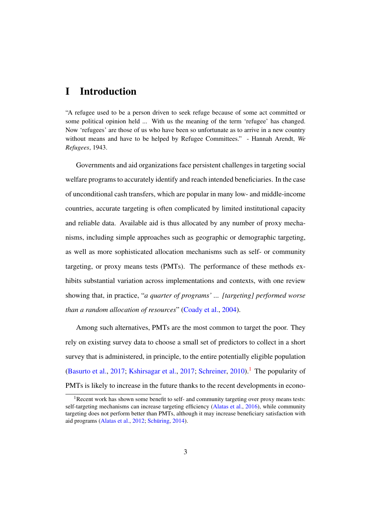### I Introduction

"A refugee used to be a person driven to seek refuge because of some act committed or some political opinion held ... With us the meaning of the term 'refugee' has changed. Now 'refugees' are those of us who have been so unfortunate as to arrive in a new country without means and have to be helped by Refugee Committees." - Hannah Arendt, *We Refugees*, 1943.

Governments and aid organizations face persistent challenges in targeting social welfare programs to accurately identify and reach intended beneficiaries. In the case of unconditional cash transfers, which are popular in many low- and middle-income countries, accurate targeting is often complicated by limited institutional capacity and reliable data. Available aid is thus allocated by any number of proxy mechanisms, including simple approaches such as geographic or demographic targeting, as well as more sophisticated allocation mechanisms such as self- or community targeting, or proxy means tests (PMTs). The performance of these methods exhibits substantial variation across implementations and contexts, with one review showing that, in practice, "*a quarter of programs' ... [targeting] performed worse than a random allocation of resources*" (Coady et al., 2004).

Among such alternatives, PMTs are the most common to target the poor. They rely on existing survey data to choose a small set of predictors to collect in a short survey that is administered, in principle, to the entire potentially eligible population (Basurto et al., 2017; Kshirsagar et al., 2017; Schreiner, 2010).<sup>1</sup> The popularity of PMTs is likely to increase in the future thanks to the recent developments in econo-

<sup>&</sup>lt;sup>1</sup>Recent work has shown some benefit to self- and community targeting over proxy means tests: self-targeting mechanisms can increase targeting efficiency (Alatas et al., 2016), while community targeting does not perform better than PMTs, although it may increase beneficiary satisfaction with aid programs (Alatas et al.,  $2012$ ; Schüring,  $2014$ ).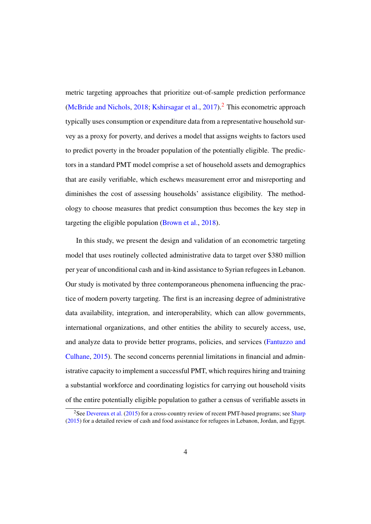metric targeting approaches that prioritize out-of-sample prediction performance (McBride and Nichols, 2018; Kshirsagar et al., 2017).<sup>2</sup> This econometric approach typically uses consumption or expenditure data from a representative household survey as a proxy for poverty, and derives a model that assigns weights to factors used to predict poverty in the broader population of the potentially eligible. The predictors in a standard PMT model comprise a set of household assets and demographics that are easily verifiable, which eschews measurement error and misreporting and diminishes the cost of assessing households' assistance eligibility. The methodology to choose measures that predict consumption thus becomes the key step in targeting the eligible population (Brown et al., 2018).

In this study, we present the design and validation of an econometric targeting model that uses routinely collected administrative data to target over \$380 million per year of unconditional cash and in-kind assistance to Syrian refugees in Lebanon. Our study is motivated by three contemporaneous phenomena influencing the practice of modern poverty targeting. The first is an increasing degree of administrative data availability, integration, and interoperability, which can allow governments, international organizations, and other entities the ability to securely access, use, and analyze data to provide better programs, policies, and services (Fantuzzo and Culhane, 2015). The second concerns perennial limitations in financial and administrative capacity to implement a successful PMT, which requires hiring and training a substantial workforce and coordinating logistics for carrying out household visits of the entire potentially eligible population to gather a census of verifiable assets in

<sup>&</sup>lt;sup>2</sup>See Devereux et al. (2015) for a cross-country review of recent PMT-based programs; see Sharp (2015) for a detailed review of cash and food assistance for refugees in Lebanon, Jordan, and Egypt.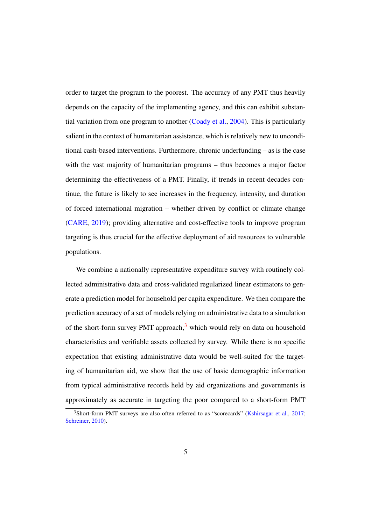order to target the program to the poorest. The accuracy of any PMT thus heavily depends on the capacity of the implementing agency, and this can exhibit substantial variation from one program to another (Coady et al., 2004). This is particularly salient in the context of humanitarian assistance, which is relatively new to unconditional cash-based interventions. Furthermore, chronic underfunding – as is the case with the vast majority of humanitarian programs – thus becomes a major factor determining the effectiveness of a PMT. Finally, if trends in recent decades continue, the future is likely to see increases in the frequency, intensity, and duration of forced international migration – whether driven by conflict or climate change (CARE, 2019); providing alternative and cost-effective tools to improve program targeting is thus crucial for the effective deployment of aid resources to vulnerable populations.

We combine a nationally representative expenditure survey with routinely collected administrative data and cross-validated regularized linear estimators to generate a prediction model for household per capita expenditure. We then compare the prediction accuracy of a set of models relying on administrative data to a simulation of the short-form survey PMT approach, $3$  which would rely on data on household characteristics and verifiable assets collected by survey. While there is no specific expectation that existing administrative data would be well-suited for the targeting of humanitarian aid, we show that the use of basic demographic information from typical administrative records held by aid organizations and governments is approximately as accurate in targeting the poor compared to a short-form PMT

<sup>&</sup>lt;sup>3</sup>Short-form PMT surveys are also often referred to as "scorecards" (Kshirsagar et al., 2017; Schreiner, 2010).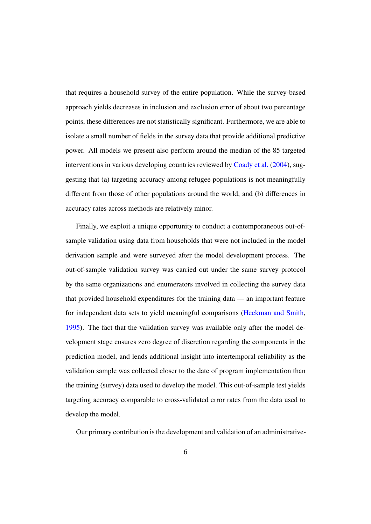that requires a household survey of the entire population. While the survey-based approach yields decreases in inclusion and exclusion error of about two percentage points, these differences are not statistically significant. Furthermore, we are able to isolate a small number of fields in the survey data that provide additional predictive power. All models we present also perform around the median of the 85 targeted interventions in various developing countries reviewed by Coady et al. (2004), suggesting that (a) targeting accuracy among refugee populations is not meaningfully different from those of other populations around the world, and (b) differences in accuracy rates across methods are relatively minor.

Finally, we exploit a unique opportunity to conduct a contemporaneous out-ofsample validation using data from households that were not included in the model derivation sample and were surveyed after the model development process. The out-of-sample validation survey was carried out under the same survey protocol by the same organizations and enumerators involved in collecting the survey data that provided household expenditures for the training data — an important feature for independent data sets to yield meaningful comparisons (Heckman and Smith, 1995). The fact that the validation survey was available only after the model development stage ensures zero degree of discretion regarding the components in the prediction model, and lends additional insight into intertemporal reliability as the validation sample was collected closer to the date of program implementation than the training (survey) data used to develop the model. This out-of-sample test yields targeting accuracy comparable to cross-validated error rates from the data used to develop the model.

Our primary contribution is the development and validation of an administrative-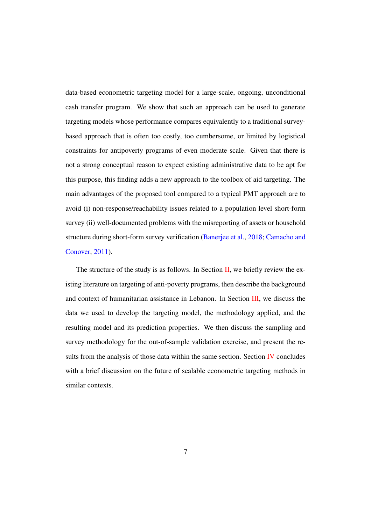data-based econometric targeting model for a large-scale, ongoing, unconditional cash transfer program. We show that such an approach can be used to generate targeting models whose performance compares equivalently to a traditional surveybased approach that is often too costly, too cumbersome, or limited by logistical constraints for antipoverty programs of even moderate scale. Given that there is not a strong conceptual reason to expect existing administrative data to be apt for this purpose, this finding adds a new approach to the toolbox of aid targeting. The main advantages of the proposed tool compared to a typical PMT approach are to avoid (i) non-response/reachability issues related to a population level short-form survey (ii) well-documented problems with the misreporting of assets or household structure during short-form survey verification (Banerjee et al., 2018; Camacho and Conover, 2011).

The structure of the study is as follows. In Section II, we briefly review the existing literature on targeting of anti-poverty programs, then describe the background and context of humanitarian assistance in Lebanon. In Section III, we discuss the data we used to develop the targeting model, the methodology applied, and the resulting model and its prediction properties. We then discuss the sampling and survey methodology for the out-of-sample validation exercise, and present the results from the analysis of those data within the same section. Section IV concludes with a brief discussion on the future of scalable econometric targeting methods in similar contexts.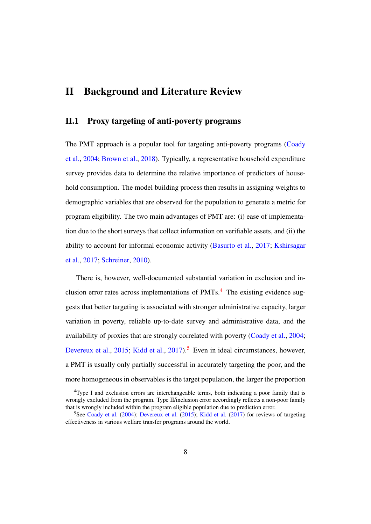### II Background and Literature Review

#### II.1 Proxy targeting of anti-poverty programs

The PMT approach is a popular tool for targeting anti-poverty programs (Coady et al., 2004; Brown et al., 2018). Typically, a representative household expenditure survey provides data to determine the relative importance of predictors of household consumption. The model building process then results in assigning weights to demographic variables that are observed for the population to generate a metric for program eligibility. The two main advantages of PMT are: (i) ease of implementation due to the short surveys that collect information on verifiable assets, and (ii) the ability to account for informal economic activity (Basurto et al., 2017; Kshirsagar et al., 2017; Schreiner, 2010).

There is, however, well-documented substantial variation in exclusion and inclusion error rates across implementations of PMTs.<sup>4</sup> The existing evidence suggests that better targeting is associated with stronger administrative capacity, larger variation in poverty, reliable up-to-date survey and administrative data, and the availability of proxies that are strongly correlated with poverty (Coady et al., 2004; Devereux et al., 2015; Kidd et al., 2017).<sup>5</sup> Even in ideal circumstances, however, a PMT is usually only partially successful in accurately targeting the poor, and the more homogeneous in observables is the target population, the larger the proportion

<sup>4</sup>Type I and exclusion errors are interchangeable terms, both indicating a poor family that is wrongly excluded from the program. Type II/inclusion error accordingly reflects a non-poor family that is wrongly included within the program eligible population due to prediction error.

<sup>&</sup>lt;sup>5</sup>See Coady et al. (2004); Devereux et al. (2015); Kidd et al. (2017) for reviews of targeting effectiveness in various welfare transfer programs around the world.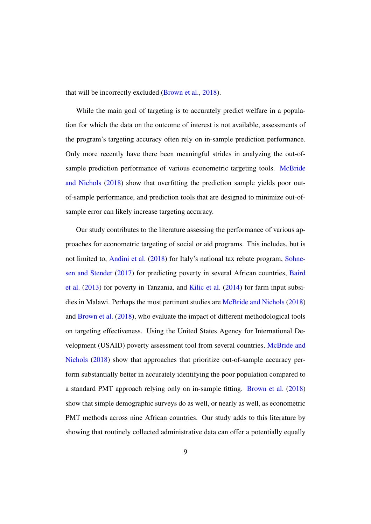that will be incorrectly excluded (Brown et al., 2018).

While the main goal of targeting is to accurately predict welfare in a population for which the data on the outcome of interest is not available, assessments of the program's targeting accuracy often rely on in-sample prediction performance. Only more recently have there been meaningful strides in analyzing the out-ofsample prediction performance of various econometric targeting tools. McBride and Nichols (2018) show that overfitting the prediction sample yields poor outof-sample performance, and prediction tools that are designed to minimize out-ofsample error can likely increase targeting accuracy.

Our study contributes to the literature assessing the performance of various approaches for econometric targeting of social or aid programs. This includes, but is not limited to, Andini et al. (2018) for Italy's national tax rebate program, Sohnesen and Stender (2017) for predicting poverty in several African countries, Baird et al. (2013) for poverty in Tanzania, and Kilic et al. (2014) for farm input subsidies in Malawi. Perhaps the most pertinent studies are McBride and Nichols (2018) and Brown et al. (2018), who evaluate the impact of different methodological tools on targeting effectiveness. Using the United States Agency for International Development (USAID) poverty assessment tool from several countries, McBride and Nichols (2018) show that approaches that prioritize out-of-sample accuracy perform substantially better in accurately identifying the poor population compared to a standard PMT approach relying only on in-sample fitting. Brown et al. (2018) show that simple demographic surveys do as well, or nearly as well, as econometric PMT methods across nine African countries. Our study adds to this literature by showing that routinely collected administrative data can offer a potentially equally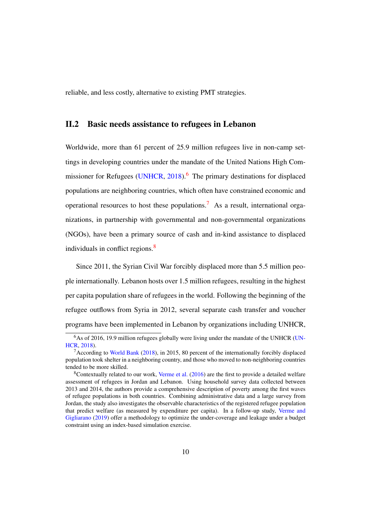reliable, and less costly, alternative to existing PMT strategies.

#### II.2 Basic needs assistance to refugees in Lebanon

Worldwide, more than 61 percent of 25.9 million refugees live in non-camp settings in developing countries under the mandate of the United Nations High Commissioner for Refugees (UNHCR,  $2018$ ).<sup>6</sup> The primary destinations for displaced populations are neighboring countries, which often have constrained economic and operational resources to host these populations.<sup>7</sup> As a result, international organizations, in partnership with governmental and non-governmental organizations (NGOs), have been a primary source of cash and in-kind assistance to displaced individuals in conflict regions. $\frac{8}{3}$ 

Since 2011, the Syrian Civil War forcibly displaced more than 5.5 million people internationally. Lebanon hosts over 1.5 million refugees, resulting in the highest per capita population share of refugees in the world. Following the beginning of the refugee outflows from Syria in 2012, several separate cash transfer and voucher programs have been implemented in Lebanon by organizations including UNHCR,

<sup>&</sup>lt;sup>6</sup>As of 2016, 19.9 million refugees globally were living under the mandate of the UNHCR (UN-HCR, 2018).

<sup>&</sup>lt;sup>7</sup> According to World Bank (2018), in 2015, 80 percent of the internationally forcibly displaced population took shelter in a neighboring country, and those who moved to non-neighboring countries tended to be more skilled.

 $8$ Contextually related to our work, Verme et al. (2016) are the first to provide a detailed welfare assessment of refugees in Jordan and Lebanon. Using household survey data collected between 2013 and 2014, the authors provide a comprehensive description of poverty among the first waves of refugee populations in both countries. Combining administrative data and a large survey from Jordan, the study also investigates the observable characteristics of the registered refugee population that predict welfare (as measured by expenditure per capita). In a follow-up study, Verme and Gigliarano (2019) offer a methodology to optimize the under-coverage and leakage under a budget constraint using an index-based simulation exercise.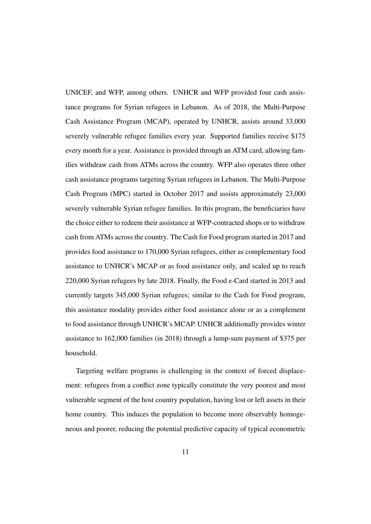UNICEF, and WFP, among others. UNHCR and WFP provided four cash assistance programs for Syrian refugees in Lebanon. As of 2018, the Multi-Purpose Cash Assistance Program (MCAP), operated by UNHCR, assists around 33,000 severely vulnerable refugee families every year. Supported families receive \$175 every month for a year. Assistance is provided through an ATM card, allowing families withdraw cash from ATMs across the country. WFP also operates three other cash assistance programs targeting Syrian refugees in Lebanon. The Multi-Purpose Cash Program (MPC) started in October 2017 and assists approximately 23,000 severely vulnerable Syrian refugee families. In this program, the beneficiaries have the choice either to redeem their assistance at WFP-contracted shops or to withdraw cash from ATMs across the country. The Cash for Food program started in 2017 and provides food assistance to 170,000 Syrian refugees, either as complementary food assistance to UNHCR's MCAP or as food assistance only, and scaled up to reach 220,000 Syrian refugees by late 2018. Finally, the Food e-Card started in 2013 and currently targets 345,000 Syrian refugees; similar to the Cash for Food program, this assistance modality provides either food assistance alone or as a complement to food assistance through UNHCR's MCAP. UNHCR additionally provides winter assistance to 162,000 families (in 2018) through a lump-sum payment of \$375 per household.

Targeting welfare programs is challenging in the context of forced displacement: refugees from a conflict zone typically constitute the very poorest and most vulnerable segment of the host country population, having lost or left assets in their home country. This induces the population to become more observably homogeneous and poorer, reducing the potential predictive capacity of typical econometric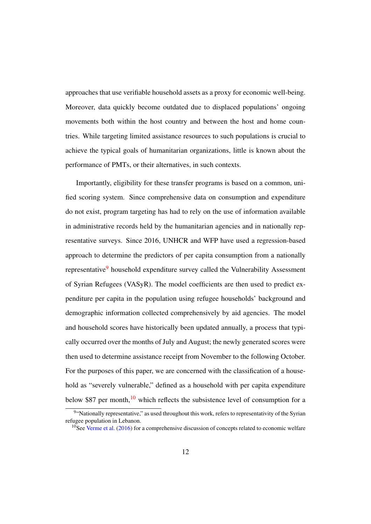approaches that use verifiable household assets as a proxy for economic well-being. Moreover, data quickly become outdated due to displaced populations' ongoing movements both within the host country and between the host and home countries. While targeting limited assistance resources to such populations is crucial to achieve the typical goals of humanitarian organizations, little is known about the performance of PMTs, or their alternatives, in such contexts.

Importantly, eligibility for these transfer programs is based on a common, unified scoring system. Since comprehensive data on consumption and expenditure do not exist, program targeting has had to rely on the use of information available in administrative records held by the humanitarian agencies and in nationally representative surveys. Since 2016, UNHCR and WFP have used a regression-based approach to determine the predictors of per capita consumption from a nationally representative<sup>9</sup> household expenditure survey called the Vulnerability Assessment of Syrian Refugees (VASyR). The model coefficients are then used to predict expenditure per capita in the population using refugee households' background and demographic information collected comprehensively by aid agencies. The model and household scores have historically been updated annually, a process that typically occurred over the months of July and August; the newly generated scores were then used to determine assistance receipt from November to the following October. For the purposes of this paper, we are concerned with the classification of a household as "severely vulnerable," defined as a household with per capita expenditure below \$87 per month,<sup>10</sup> which reflects the subsistence level of consumption for a

<sup>&</sup>lt;sup>9"</sup>Nationally representative," as used throughout this work, refers to representativity of the Syrian refugee population in Lebanon.

 $10$ See Verme et al. (2016) for a comprehensive discussion of concepts related to economic welfare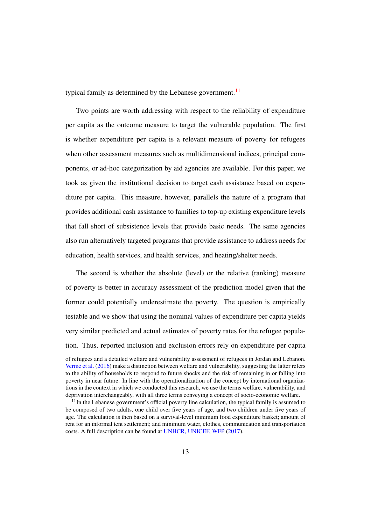typical family as determined by the Lebanese government.<sup>11</sup>

Two points are worth addressing with respect to the reliability of expenditure per capita as the outcome measure to target the vulnerable population. The first is whether expenditure per capita is a relevant measure of poverty for refugees when other assessment measures such as multidimensional indices, principal components, or ad-hoc categorization by aid agencies are available. For this paper, we took as given the institutional decision to target cash assistance based on expenditure per capita. This measure, however, parallels the nature of a program that provides additional cash assistance to families to top-up existing expenditure levels that fall short of subsistence levels that provide basic needs. The same agencies also run alternatively targeted programs that provide assistance to address needs for education, health services, and health services, and heating/shelter needs.

The second is whether the absolute (level) or the relative (ranking) measure of poverty is better in accuracy assessment of the prediction model given that the former could potentially underestimate the poverty. The question is empirically testable and we show that using the nominal values of expenditure per capita yields very similar predicted and actual estimates of poverty rates for the refugee population. Thus, reported inclusion and exclusion errors rely on expenditure per capita

of refugees and a detailed welfare and vulnerability assessment of refugees in Jordan and Lebanon. Verme et al. (2016) make a distinction between welfare and vulnerability, suggesting the latter refers to the ability of households to respond to future shocks and the risk of remaining in or falling into poverty in near future. In line with the operationalization of the concept by international organizations in the context in which we conducted this research, we use the terms welfare, vulnerability, and deprivation interchangeably, with all three terms conveying a concept of socio-economic welfare.

 $11$ In the Lebanese government's official poverty line calculation, the typical family is assumed to be composed of two adults, one child over five years of age, and two children under five years of age. The calculation is then based on a survival-level minimum food expenditure basket; amount of rent for an informal tent settlement; and minimum water, clothes, communication and transportation costs. A full description can be found at UNHCR, UNICEF, WFP (2017).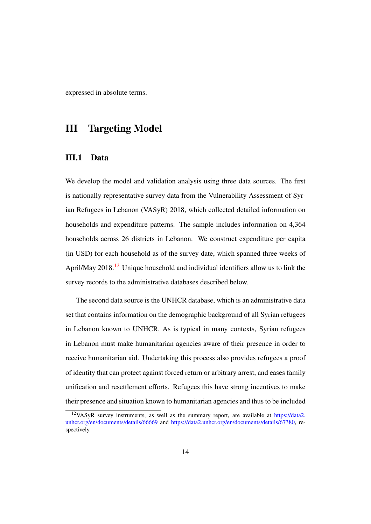expressed in absolute terms.

## III Targeting Model

#### III.1 Data

We develop the model and validation analysis using three data sources. The first is nationally representative survey data from the Vulnerability Assessment of Syrian Refugees in Lebanon (VASyR) 2018, which collected detailed information on households and expenditure patterns. The sample includes information on 4,364 households across 26 districts in Lebanon. We construct expenditure per capita (in USD) for each household as of the survey date, which spanned three weeks of April/May 2018.<sup>12</sup> Unique household and individual identifiers allow us to link the survey records to the administrative databases described below.

The second data source is the UNHCR database, which is an administrative data set that contains information on the demographic background of all Syrian refugees in Lebanon known to UNHCR. As is typical in many contexts, Syrian refugees in Lebanon must make humanitarian agencies aware of their presence in order to receive humanitarian aid. Undertaking this process also provides refugees a proof of identity that can protect against forced return or arbitrary arrest, and eases family unification and resettlement efforts. Refugees this have strong incentives to make their presence and situation known to humanitarian agencies and thus to be included

<sup>12</sup>VASyR survey instruments, as well as the summary report, are available at https://data2. unhcr.org/en/documents/details/66669 and https://data2.unhcr.org/en/documents/details/67380, respectively.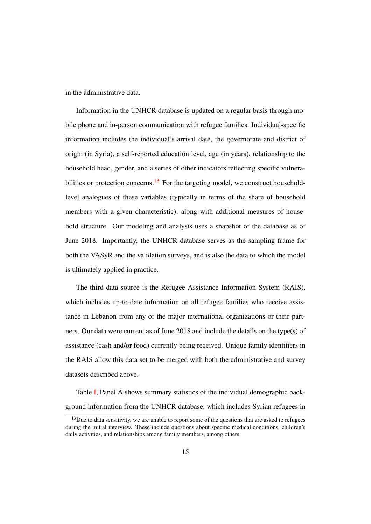in the administrative data.

Information in the UNHCR database is updated on a regular basis through mobile phone and in-person communication with refugee families. Individual-specific information includes the individual's arrival date, the governorate and district of origin (in Syria), a self-reported education level, age (in years), relationship to the household head, gender, and a series of other indicators reflecting specific vulnerabilities or protection concerns.<sup>13</sup> For the targeting model, we construct householdlevel analogues of these variables (typically in terms of the share of household members with a given characteristic), along with additional measures of household structure. Our modeling and analysis uses a snapshot of the database as of June 2018. Importantly, the UNHCR database serves as the sampling frame for both the VASyR and the validation surveys, and is also the data to which the model is ultimately applied in practice.

The third data source is the Refugee Assistance Information System (RAIS), which includes up-to-date information on all refugee families who receive assistance in Lebanon from any of the major international organizations or their partners. Our data were current as of June 2018 and include the details on the type(s) of assistance (cash and/or food) currently being received. Unique family identifiers in the RAIS allow this data set to be merged with both the administrative and survey datasets described above.

Table I, Panel A shows summary statistics of the individual demographic background information from the UNHCR database, which includes Syrian refugees in

<sup>&</sup>lt;sup>13</sup>Due to data sensitivity, we are unable to report some of the questions that are asked to refugees during the initial interview. These include questions about specific medical conditions, children's daily activities, and relationships among family members, among others.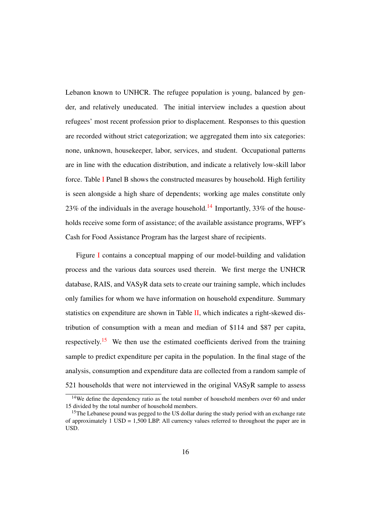Lebanon known to UNHCR. The refugee population is young, balanced by gender, and relatively uneducated. The initial interview includes a question about refugees' most recent profession prior to displacement. Responses to this question are recorded without strict categorization; we aggregated them into six categories: none, unknown, housekeeper, labor, services, and student. Occupational patterns are in line with the education distribution, and indicate a relatively low-skill labor force. Table I Panel B shows the constructed measures by household. High fertility is seen alongside a high share of dependents; working age males constitute only 23% of the individuals in the average household.<sup>14</sup> Importantly, 33% of the households receive some form of assistance; of the available assistance programs, WFP's Cash for Food Assistance Program has the largest share of recipients.

Figure I contains a conceptual mapping of our model-building and validation process and the various data sources used therein. We first merge the UNHCR database, RAIS, and VASyR data sets to create our training sample, which includes only families for whom we have information on household expenditure. Summary statistics on expenditure are shown in Table  $II$ , which indicates a right-skewed distribution of consumption with a mean and median of \$114 and \$87 per capita, respectively.<sup>15</sup> We then use the estimated coefficients derived from the training sample to predict expenditure per capita in the population. In the final stage of the analysis, consumption and expenditure data are collected from a random sample of 521 households that were not interviewed in the original VASyR sample to assess

 $14$ We define the dependency ratio as the total number of household members over 60 and under 15 divided by the total number of household members.

<sup>&</sup>lt;sup>15</sup>The Lebanese pound was pegged to the US dollar during the study period with an exchange rate of approximately  $\overline{1}$  USD = 1,500 LBP. All currency values referred to throughout the paper are in USD.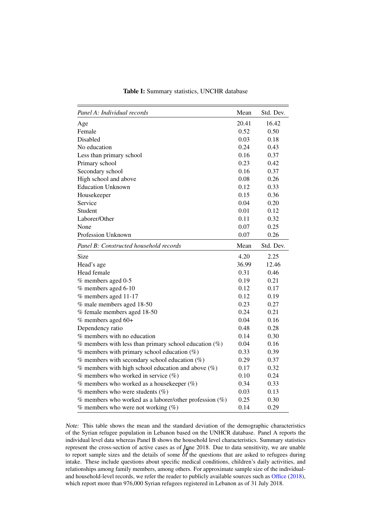| Panel A: Individual records                                      | Mean  | Std. Dev. |
|------------------------------------------------------------------|-------|-----------|
| Age                                                              | 20.41 | 16.42     |
| Female                                                           | 0.52  | 0.50      |
| Disabled                                                         | 0.03  | 0.18      |
| No education                                                     | 0.24  | 0.43      |
| Less than primary school                                         | 0.16  | 0.37      |
| Primary school                                                   | 0.23  | 0.42      |
| Secondary school                                                 | 0.16  | 0.37      |
| High school and above                                            | 0.08  | 0.26      |
| <b>Education Unknown</b>                                         | 0.12  | 0.33      |
| Housekeeper                                                      | 0.15  | 0.36      |
| Service                                                          | 0.04  | 0.20      |
| Student                                                          | 0.01  | 0.12      |
| Laborer/Other                                                    | 0.11  | 0.32      |
| None                                                             | 0.07  | 0.25      |
| Profession Unknown                                               | 0.07  | 0.26      |
| Panel B: Constructed household records                           | Mean  | Std. Dev. |
| Size                                                             | 4.20  | 2.25      |
| Head's age                                                       | 36.99 | 12.46     |
| Head female                                                      | 0.31  | 0.46      |
| % members aged 0-5                                               | 0.19  | 0.21      |
| % members aged 6-10                                              | 0.12  | 0.17      |
| % members aged 11-17                                             | 0.12  | 0.19      |
| % male members aged 18-50                                        | 0.23  | 0.27      |
| % female members aged 18-50                                      | 0.24  | 0.21      |
| $%$ members aged 60+                                             | 0.04  | 0.16      |
| Dependency ratio                                                 | 0.48  | 0.28      |
| % members with no education                                      | 0.14  | 0.30      |
| $%$ members with less than primary school education $(% \theta)$ | 0.04  | 0.16      |
| $%$ members with primary school education $(\%)$                 | 0.33  | 0.39      |
| $%$ members with secondary school education $(% \theta)$         | 0.29  | 0.37      |
| $\%$ members with high school education and above $(\%)$         | 0.17  | 0.32      |
| $%$ members who worked in service $(\%)$                         | 0.10  | 0.24      |
| $%$ members who worked as a housekeeper $(\%)$                   | 0.34  | 0.33      |
| $%$ members who were students $(% \mathcal{O}(\omega))$          | 0.03  | 0.13      |
| $%$ members who worked as a laborer/other profession $(\%)$      | 0.25  | 0.30      |
| $\%$ members who were not working $(\% )$                        | 0.14  | 0.29      |

Table I: Summary statistics, UNCHR database

*Note:* This table shows the mean and the standard deviation of the demographic characteristics of the Syrian refugee population in Lebanon based on the UNHCR database. Panel A reports the individual level data whereas Panel B shows the household level characteristics. Summary statistics represent the cross-section of active cases as of June 2018. Due to data sensitivity, we are unable to report sample sizes and the details of some of the questions that are asked to refugees during intake. These include questions about specific medical conditions, children's daily activities, and relationships among family members, among others. For approximate sample size of the individualand household-level records, we refer the reader to publicly available sources such as Office (2018), which report more than 976,000 Syrian refugees registered in Lebanon as of 31 July 2018.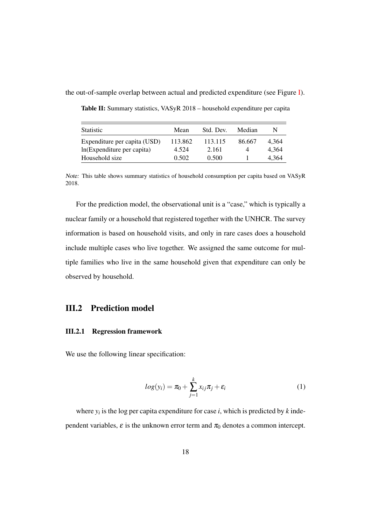the out-of-sample overlap between actual and predicted expenditure (see Figure I).

| <b>Statistic</b>             | Mean    | Std. Dev. | Median | N     |
|------------------------------|---------|-----------|--------|-------|
| Expenditure per capita (USD) | 113.862 | 113.115   | 86.667 | 4.364 |
| In (Expenditure per capita)  | 4.524   | 2.161     | 4      | 4.364 |
| Household size               | 0.502   | 0.500     |        | 4.364 |

Table II: Summary statistics, VASyR 2018 – household expenditure per capita

*Note:* This table shows summary statistics of household consumption per capita based on VASyR 2018.

For the prediction model, the observational unit is a "case," which is typically a nuclear family or a household that registered together with the UNHCR. The survey information is based on household visits, and only in rare cases does a household include multiple cases who live together. We assigned the same outcome for multiple families who live in the same household given that expenditure can only be observed by household.

#### III.2 Prediction model

#### III.2.1 Regression framework

We use the following linear specification:

$$
log(y_i) = \pi_0 + \sum_{j=1}^{k} x_{ij}\pi_j + \varepsilon_i
$$
 (1)

where  $y_i$  is the log per capita expenditure for case *i*, which is predicted by *k* independent variables,  $\varepsilon$  is the unknown error term and  $\pi_0$  denotes a common intercept.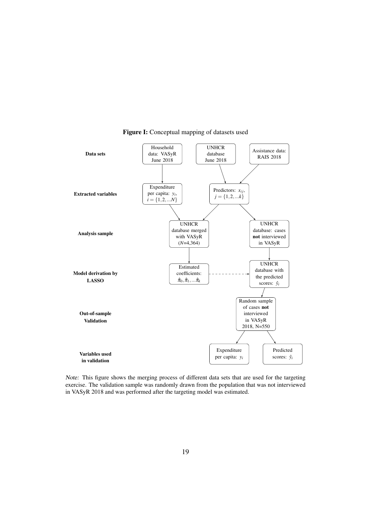

Figure I: Conceptual mapping of datasets used

*Note:* This figure shows the merging process of different data sets that are used for the targeting exercise. The validation sample was randomly drawn from the population that was not interviewed in VASyR 2018 and was performed after the targeting model was estimated.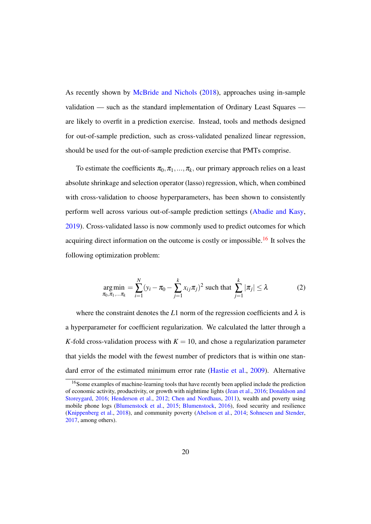As recently shown by McBride and Nichols (2018), approaches using in-sample validation — such as the standard implementation of Ordinary Least Squares are likely to overfit in a prediction exercise. Instead, tools and methods designed for out-of-sample prediction, such as cross-validated penalized linear regression, should be used for the out-of-sample prediction exercise that PMTs comprise.

To estimate the coefficients  $\pi_0, \pi_1, \ldots, \pi_k$ , our primary approach relies on a least absolute shrinkage and selection operator (lasso) regression, which, when combined with cross-validation to choose hyperparameters, has been shown to consistently perform well across various out-of-sample prediction settings (Abadie and Kasy, 2019). Cross-validated lasso is now commonly used to predict outcomes for which acquiring direct information on the outcome is costly or impossible.<sup>16</sup> It solves the following optimization problem:

$$
\underset{\pi_0, \pi_1, \dots, \pi_k}{\arg \min} = \sum_{i=1}^N (y_i - \pi_0 - \sum_{j=1}^k x_{ij} \pi_j)^2 \text{ such that } \sum_{j=1}^k |\pi_j| \le \lambda \tag{2}
$$

where the constraint denotes the *L*1 norm of the regression coefficients and  $\lambda$  is a hyperparameter for coefficient regularization. We calculated the latter through a *K*-fold cross-validation process with  $K = 10$ , and chose a regularization parameter that yields the model with the fewest number of predictors that is within one standard error of the estimated minimum error rate (Hastie et al., 2009). Alternative

<sup>&</sup>lt;sup>16</sup>Some examples of machine-learning tools that have recently been applied include the prediction of economic activity, productivity, or growth with nighttime lights (Jean et al., 2016; Donaldson and Storeygard, 2016; Henderson et al., 2012; Chen and Nordhaus, 2011), wealth and poverty using mobile phone logs (Blumenstock et al., 2015; Blumenstock, 2016), food security and resilience (Knippenberg et al., 2018), and community poverty (Abelson et al., 2014; Sohnesen and Stender, 2017, among others).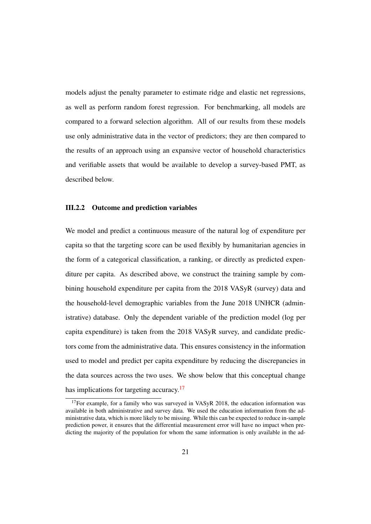models adjust the penalty parameter to estimate ridge and elastic net regressions, as well as perform random forest regression. For benchmarking, all models are compared to a forward selection algorithm. All of our results from these models use only administrative data in the vector of predictors; they are then compared to the results of an approach using an expansive vector of household characteristics and verifiable assets that would be available to develop a survey-based PMT, as described below.

#### III.2.2 Outcome and prediction variables

We model and predict a continuous measure of the natural log of expenditure per capita so that the targeting score can be used flexibly by humanitarian agencies in the form of a categorical classification, a ranking, or directly as predicted expenditure per capita. As described above, we construct the training sample by combining household expenditure per capita from the 2018 VASyR (survey) data and the household-level demographic variables from the June 2018 UNHCR (administrative) database. Only the dependent variable of the prediction model (log per capita expenditure) is taken from the 2018 VASyR survey, and candidate predictors come from the administrative data. This ensures consistency in the information used to model and predict per capita expenditure by reducing the discrepancies in the data sources across the two uses. We show below that this conceptual change has implications for targeting accuracy.<sup>17</sup>

<sup>&</sup>lt;sup>17</sup>For example, for a family who was surveyed in VASyR 2018, the education information was available in both administrative and survey data. We used the education information from the administrative data, which is more likely to be missing. While this can be expected to reduce in-sample prediction power, it ensures that the differential measurement error will have no impact when predicting the majority of the population for whom the same information is only available in the ad-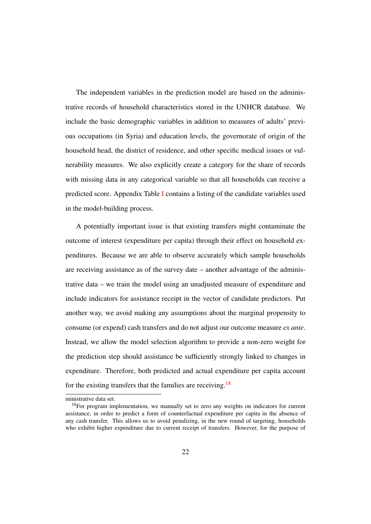The independent variables in the prediction model are based on the administrative records of household characteristics stored in the UNHCR database. We include the basic demographic variables in addition to measures of adults' previous occupations (in Syria) and education levels, the governorate of origin of the household head, the district of residence, and other specific medical issues or vulnerability measures. We also explicitly create a category for the share of records with missing data in any categorical variable so that all households can receive a predicted score. Appendix Table I contains a listing of the candidate variables used in the model-building process.

A potentially important issue is that existing transfers might contaminate the outcome of interest (expenditure per capita) through their effect on household expenditures. Because we are able to observe accurately which sample households are receiving assistance as of the survey date – another advantage of the administrative data – we train the model using an unadjusted measure of expenditure and include indicators for assistance receipt in the vector of candidate predictors. Put another way, we avoid making any assumptions about the marginal propensity to consume (or expend) cash transfers and do not adjust our outcome measure *ex ante*. Instead, we allow the model selection algorithm to provide a non-zero weight for the prediction step should assistance be sufficiently strongly linked to changes in expenditure. Therefore, both predicted and actual expenditure per capita account for the existing transfers that the families are receiving.<sup>18</sup>

ministrative data set.

 $18$ For program implementation, we manually set to zero any weights on indicators for current assistance, in order to predict a form of counterfactual expenditure per capita in the absence of any cash transfer. This allows us to avoid penalizing, in the new round of targeting, households who exhibit higher expenditure due to current receipt of transfers. However, for the purpose of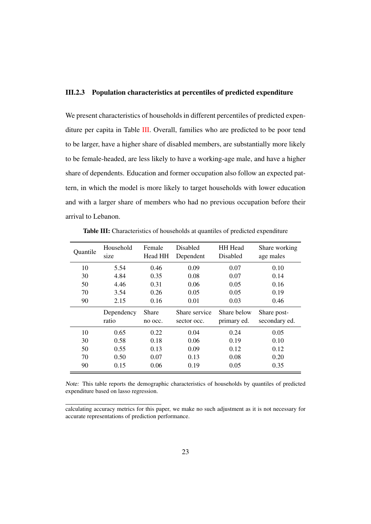#### III.2.3 Population characteristics at percentiles of predicted expenditure

We present characteristics of households in different percentiles of predicted expenditure per capita in Table III. Overall, families who are predicted to be poor tend to be larger, have a higher share of disabled members, are substantially more likely to be female-headed, are less likely to have a working-age male, and have a higher share of dependents. Education and former occupation also follow an expected pattern, in which the model is more likely to target households with lower education and with a larger share of members who had no previous occupation before their arrival to Lebanon.

| Quantile | Household<br>size   | Female<br>Head HH       | <b>Disabled</b><br>Dependent | <b>HH</b> Head<br>Disabled | Share working<br>age males   |
|----------|---------------------|-------------------------|------------------------------|----------------------------|------------------------------|
| 10       | 5.54                | 0.46                    | 0.09                         | 0.07                       | 0.10                         |
| 30       | 4.84                | 0.35                    | 0.08                         | 0.07                       | 0.14                         |
| 50       | 4.46                | 0.31                    | 0.06                         | 0.05                       | 0.16                         |
| 70       | 3.54                | 0.26                    | 0.05                         | 0.05                       | 0.19                         |
| 90       | 2.15                | 0.16                    | 0.01                         | 0.03                       | 0.46                         |
|          | Dependency<br>ratio | <b>Share</b><br>no occ. | Share service<br>sector occ. | Share below<br>primary ed. | Share post-<br>secondary ed. |
| 10       | 0.65                | 0.22                    | 0.04                         | 0.24                       | 0.05                         |
| 30       | 0.58                | 0.18                    | 0.06                         | 0.19                       | 0.10                         |
| 50       | 0.55                | 0.13                    | 0.09                         | 0.12                       | 0.12                         |
| 70       | 0.50                | 0.07                    | 0.13                         | 0.08                       | 0.20                         |
| 90       | 0.15                | 0.06                    | 0.19                         | 0.05                       | 0.35                         |

Table III: Characteristics of households at quantiles of predicted expenditure

*Note:* This table reports the demographic characteristics of households by quantiles of predicted expenditure based on lasso regression.

calculating accuracy metrics for this paper, we make no such adjustment as it is not necessary for accurate representations of prediction performance.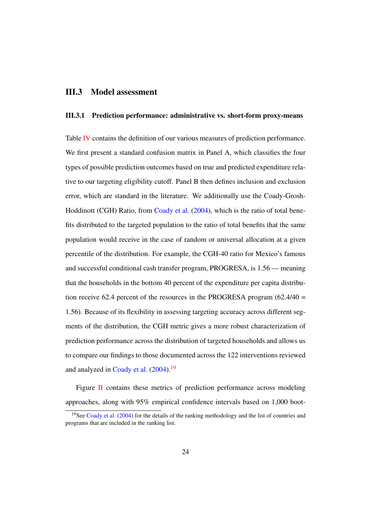#### III.3 Model assessment

#### III.3.1 Prediction performance: administrative vs. short-form proxy-means

Table IV contains the definition of our various measures of prediction performance. We first present a standard confusion matrix in Panel A, which classifies the four types of possible prediction outcomes based on true and predicted expenditure relative to our targeting eligibility cutoff. Panel B then defines inclusion and exclusion error, which are standard in the literature. We additionally use the Coady-Grosh-Hoddinott (CGH) Ratio, from Coady et al. (2004), which is the ratio of total benefits distributed to the targeted population to the ratio of total benefits that the same population would receive in the case of random or universal allocation at a given percentile of the distribution. For example, the CGH-40 ratio for Mexico's famous and successful conditional cash transfer program, PROGRESA, is 1.56 — meaning that the households in the bottom 40 percent of the expenditure per capita distribution receive 62.4 percent of the resources in the PROGRESA program  $(62.4/40 =$ 1.56). Because of its flexibility in assessing targeting accuracy across different segments of the distribution, the CGH metric gives a more robust characterization of prediction performance across the distribution of targeted households and allows us to compare our findings to those documented across the 122 interventions reviewed and analyzed in Coady et al. (2004).<sup>19</sup>

Figure II contains these metrics of prediction performance across modeling approaches, along with 95% empirical confidence intervals based on 1,000 boot-

<sup>&</sup>lt;sup>19</sup>See Coady et al. (2004) for the details of the ranking methodology and the list of countries and programs that are included in the ranking list.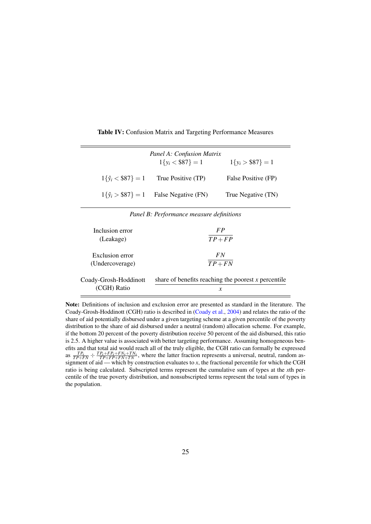|                            | Panel A: Confusion Matrix<br>$1\{y_i < $87\} = 1$ | $1\{y_i > $87\} = 1$ |
|----------------------------|---------------------------------------------------|----------------------|
| $1\{\hat{v}_i < $87\} = 1$ | True Positive (TP)                                | False Positive (FP)  |
|                            | $1\{\hat{v}_i > $87\} = 1$ False Negative (FN)    | True Negative (TN)   |

Table IV: Confusion Matrix and Targeting Performance Measures

*Panel B: Performance measure definitions*

| Inclusion error       | FP                                                    |
|-----------------------|-------------------------------------------------------|
| (Leakage)             | $TP+FP$                                               |
| Exclusion error       | FN                                                    |
| (Undercoverage)       | $TP+FN$                                               |
| Coady-Grosh-Hoddinott | share of benefits reaching the poorest $x$ percentile |
| (CGH) Ratio           | х                                                     |

Note: Definitions of inclusion and exclusion error are presented as standard in the literature. The Coady-Grosh-Hoddinott (CGH) ratio is described in (Coady et al., 2004) and relates the ratio of the share of aid potentially disbursed under a given targeting scheme at a given percentile of the poverty distribution to the share of aid disbursed under a neutral (random) allocation scheme. For example, if the bottom 20 percent of the poverty distribution receive 50 percent of the aid disbursed, this ratio is 2.5. A higher value is associated with better targeting performance. Assuming homogeneous benefits and that total aid would reach all of the truly eligible, the CGH ratio can formally be expressed as  $\frac{TP_x}{TP+FN}$   $\div$   $\frac{TP_x+FP_x+FN_x+TN_x}{TP+FP+FN+TN}$ , where the latter fraction represents a universal, neutral, random assignment of aid — which by construction evaluates to *x*, the fractional percentile for which the CGH ratio is being calculated. Subscripted terms represent the cumulative sum of types at the *x*th percentile of the true poverty distribution, and nonsubscripted terms represent the total sum of types in the population.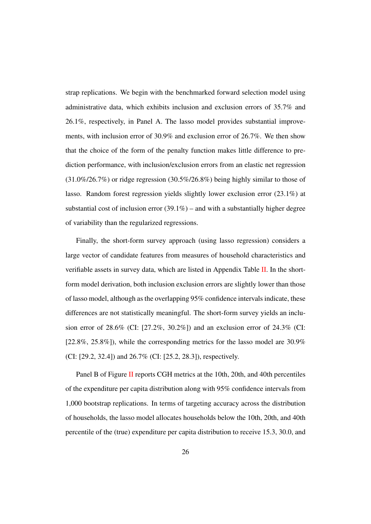strap replications. We begin with the benchmarked forward selection model using administrative data, which exhibits inclusion and exclusion errors of 35.7% and 26.1%, respectively, in Panel A. The lasso model provides substantial improvements, with inclusion error of 30.9% and exclusion error of 26.7%. We then show that the choice of the form of the penalty function makes little difference to prediction performance, with inclusion/exclusion errors from an elastic net regression (31.0%/26.7%) or ridge regression (30.5%/26.8%) being highly similar to those of lasso. Random forest regression yields slightly lower exclusion error (23.1%) at substantial cost of inclusion error  $(39.1\%)$  – and with a substantially higher degree of variability than the regularized regressions.

Finally, the short-form survey approach (using lasso regression) considers a large vector of candidate features from measures of household characteristics and verifiable assets in survey data, which are listed in Appendix Table  $II$ . In the shortform model derivation, both inclusion exclusion errors are slightly lower than those of lasso model, although as the overlapping 95% confidence intervals indicate, these differences are not statistically meaningful. The short-form survey yields an inclusion error of 28.6% (CI: [27.2%, 30.2%]) and an exclusion error of 24.3% (CI: [22.8%, 25.8%]), while the corresponding metrics for the lasso model are 30.9% (CI: [29.2, 32.4]) and 26.7% (CI: [25.2, 28.3]), respectively.

Panel B of Figure II reports CGH metrics at the 10th, 20th, and 40th percentiles of the expenditure per capita distribution along with 95% confidence intervals from 1,000 bootstrap replications. In terms of targeting accuracy across the distribution of households, the lasso model allocates households below the 10th, 20th, and 40th percentile of the (true) expenditure per capita distribution to receive 15.3, 30.0, and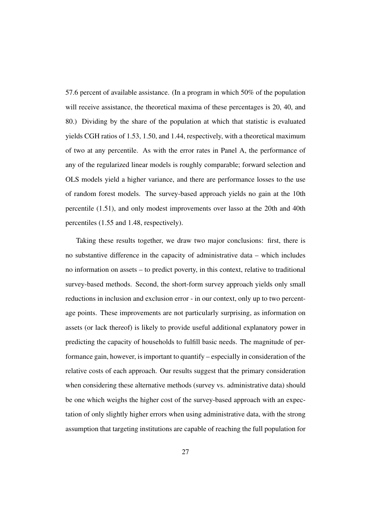57.6 percent of available assistance. (In a program in which 50% of the population will receive assistance, the theoretical maxima of these percentages is 20, 40, and 80.) Dividing by the share of the population at which that statistic is evaluated yields CGH ratios of 1.53, 1.50, and 1.44, respectively, with a theoretical maximum of two at any percentile. As with the error rates in Panel A, the performance of any of the regularized linear models is roughly comparable; forward selection and OLS models yield a higher variance, and there are performance losses to the use of random forest models. The survey-based approach yields no gain at the 10th percentile (1.51), and only modest improvements over lasso at the 20th and 40th percentiles (1.55 and 1.48, respectively).

Taking these results together, we draw two major conclusions: first, there is no substantive difference in the capacity of administrative data – which includes no information on assets – to predict poverty, in this context, relative to traditional survey-based methods. Second, the short-form survey approach yields only small reductions in inclusion and exclusion error - in our context, only up to two percentage points. These improvements are not particularly surprising, as information on assets (or lack thereof) is likely to provide useful additional explanatory power in predicting the capacity of households to fulfill basic needs. The magnitude of performance gain, however, is important to quantify – especially in consideration of the relative costs of each approach. Our results suggest that the primary consideration when considering these alternative methods (survey vs. administrative data) should be one which weighs the higher cost of the survey-based approach with an expectation of only slightly higher errors when using administrative data, with the strong assumption that targeting institutions are capable of reaching the full population for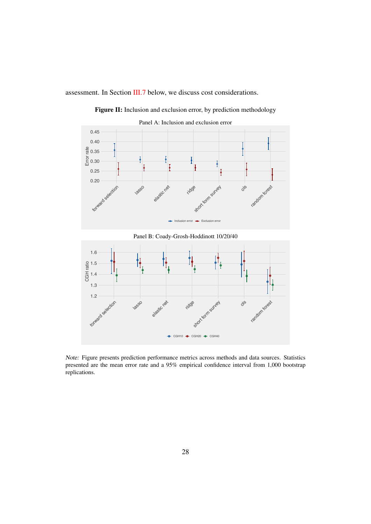assessment. In Section III.7 below, we discuss cost considerations.



Figure II: Inclusion and exclusion error, by prediction methodology



*Note:* Figure presents prediction performance metrics across methods and data sources. Statistics presented are the mean error rate and a 95% empirical confidence interval from 1,000 bootstrap replications.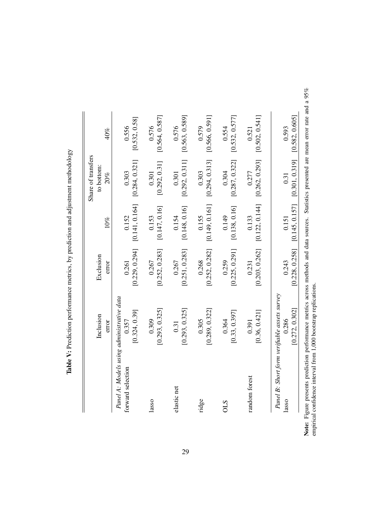|                   |                                              |                |                | Share of transfers |                |
|-------------------|----------------------------------------------|----------------|----------------|--------------------|----------------|
|                   | Inclusion                                    | Exclusion      |                | to bottom:         |                |
|                   | error                                        | error          | 10%            | 20%                | 40%            |
| Panel A: Models   | using administrative data                    |                |                |                    |                |
| forward selection | 0.357                                        | 0.261          | 0.152          | 0.303              | 0.556          |
|                   | [0.324, 0.39]                                | [0.229, 0.294] | [0.141, 0.164] | [0.284, 0.321]     | [0.532, 0.58]  |
| lasso             | 0.309                                        | 0.267          | 0.153          | 0.301              | 0.576          |
|                   | [0.293, 0.325]                               | [0.252, 0.283] | [0.147, 0.16]  | [0.292, 0.31]      | [0.564, 0.587] |
| elastic net       | 0.31                                         | 0.267          | 0.154          | 0.301              | 0.576          |
|                   | [0.293, 0.325]                               | [0.251, 0.283] | [0.148, 0.16]  | [0.292, 0.311]     | [0.563, 0.589] |
| ridge             | 0.305                                        | 0.268          | 0.155          | 0.303              | 0.579          |
|                   | [0.289, 0.322]                               | [0.252, 0.282] | [0.149, 0.161] | [0.294, 0.313]     | [0.566, 0.591] |
| <b>OLS</b>        | 0.364                                        | 0.259          | 0.149          | 0.304              | 0.554          |
|                   | [0.33, 0.397]                                | [0.225, 0.291] | [0.138, 0.16]  | [0.287, 0.322]     | [0.532, 0.577] |
| random forest     | 0.391                                        | 0.231          | 0.133          | 0.277              | 0.521          |
|                   | [0.36, 0.421]                                | [0.203, 0.262] | [0.122, 0.144] | [0.262, 0.293]     | [0.502, 0.54]  |
|                   | Panel B: Short form verifiable assets survey |                |                |                    |                |
| lasso             | 0.286                                        | 0.243          | 0.151          | 0.31               | 0.593          |
|                   | [0.272, 0.302]                               | [0.228, 0.258] | [0.145, 0.157] | [0.301, 0.319]     | [0.582, 0.605] |

Table V: Prediction performance metrics, by prediction and adjustment methodology Table V: Prediction performance metrics, by prediction and adjustment methodology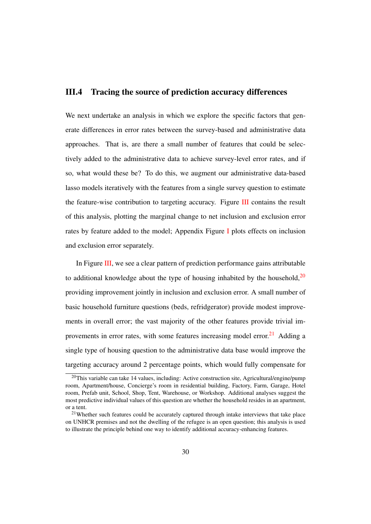#### III.4 Tracing the source of prediction accuracy differences

We next undertake an analysis in which we explore the specific factors that generate differences in error rates between the survey-based and administrative data approaches. That is, are there a small number of features that could be selectively added to the administrative data to achieve survey-level error rates, and if so, what would these be? To do this, we augment our administrative data-based lasso models iteratively with the features from a single survey question to estimate the feature-wise contribution to targeting accuracy. Figure III contains the result of this analysis, plotting the marginal change to net inclusion and exclusion error rates by feature added to the model; Appendix Figure I plots effects on inclusion and exclusion error separately.

In Figure III, we see a clear pattern of prediction performance gains attributable to additional knowledge about the type of housing inhabited by the household, $20$ providing improvement jointly in inclusion and exclusion error. A small number of basic household furniture questions (beds, refridgerator) provide modest improvements in overall error; the vast majority of the other features provide trivial improvements in error rates, with some features increasing model error.<sup>21</sup> Adding a single type of housing question to the administrative data base would improve the targeting accuracy around 2 percentage points, which would fully compensate for

<sup>&</sup>lt;sup>20</sup>This variable can take 14 values, including: Active construction site, Agricultural/engine/pump room, Apartment/house, Concierge's room in residential building, Factory, Farm, Garage, Hotel room, Prefab unit, School, Shop, Tent, Warehouse, or Workshop. Additional analyses suggest the most predictive individual values of this question are whether the household resides in an apartment, or a tent.

<sup>&</sup>lt;sup>21</sup>Whether such features could be accurately captured through intake interviews that take place on UNHCR premises and not the dwelling of the refugee is an open question; this analysis is used to illustrate the principle behind one way to identify additional accuracy-enhancing features.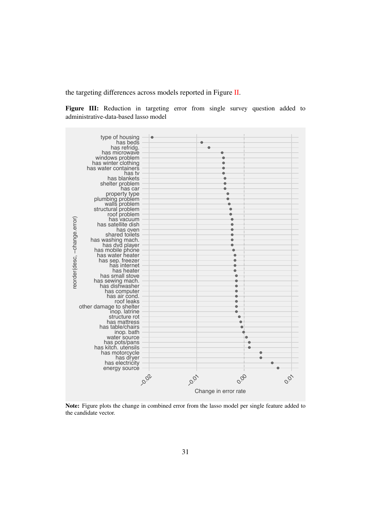the targeting differences across models reported in Figure II.

Figure III: Reduction in targeting error from single survey question added to administrative-data-based lasso model



Note: Figure plots the change in combined error from the lasso model per single feature added to the candidate vector.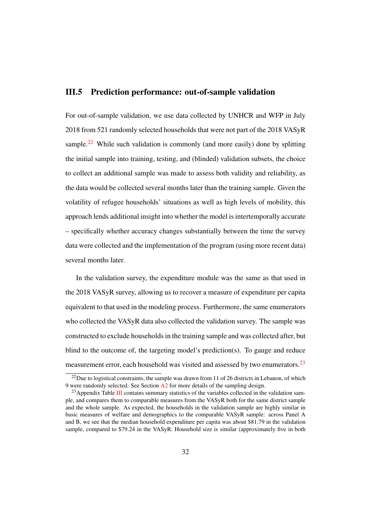#### III.5 Prediction performance: out-of-sample validation

For out-of-sample validation, we use data collected by UNHCR and WFP in July 2018 from 521 randomly selected households that were not part of the 2018 VASyR sample.<sup>22</sup> While such validation is commonly (and more easily) done by splitting the initial sample into training, testing, and (blinded) validation subsets, the choice to collect an additional sample was made to assess both validity and reliability, as the data would be collected several months later than the training sample. Given the volatility of refugee households' situations as well as high levels of mobility, this approach lends additional insight into whether the model is intertemporally accurate – specifically whether accuracy changes substantially between the time the survey data were collected and the implementation of the program (using more recent data) several months later.

In the validation survey, the expenditure module was the same as that used in the 2018 VASyR survey, allowing us to recover a measure of expenditure per capita equivalent to that used in the modeling process. Furthermore, the same enumerators who collected the VASyR data also collected the validation survey. The sample was constructed to exclude households in the training sample and was collected after, but blind to the outcome of, the targeting model's prediction(s). To gauge and reduce measurement error, each household was visited and assessed by two enumerators.<sup>23</sup>

 $^{22}$ Due to logistical constraints, the sample was drawn from 11 of 26 districts in Lebanon, of which 9 were randomly selected. See Section  $\Delta 2$  for more details of the sampling design.

<sup>&</sup>lt;sup>23</sup> Appendix Table III contains summary statistics of the variables collected in the validation sample, and compares them to comparable measures from the VASyR both for the same district sample and the whole sample. As expected, the households in the validation sample are highly similar in basic measures of welfare and demographics to the comparable VASyR sample: across Panel A and B, we see that the median household expenditure per capita was about \$81.79 in the validation sample, compared to \$79.24 in the VASyR. Household size is similar (approximately five in both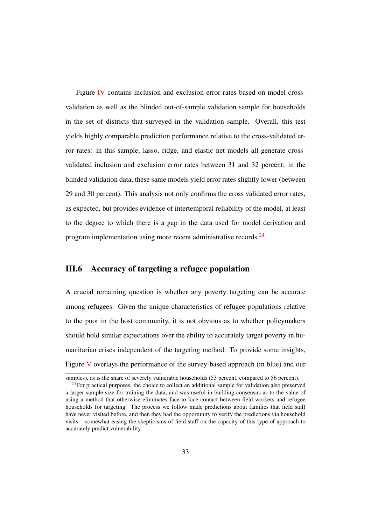Figure IV contains inclusion and exclusion error rates based on model crossvalidation as well as the blinded out-of-sample validation sample for households in the set of districts that surveyed in the validation sample. Overall, this test yields highly comparable prediction performance relative to the cross-validated error rates: in this sample, lasso, ridge, and elastic net models all generate crossvalidated inclusion and exclusion error rates between 31 and 32 percent; in the blinded validation data, these same models yield error rates slightly lower (between 29 and 30 percent). This analysis not only confirms the cross validated error rates, as expected, but provides evidence of intertemporal reliability of the model, at least to the degree to which there is a gap in the data used for model derivation and program implementation using more recent administrative records.<sup>24</sup>

#### III.6 Accuracy of targeting a refugee population

A crucial remaining question is whether any poverty targeting can be accurate among refugees. Given the unique characteristics of refugee populations relative to the poor in the host community, it is not obvious as to whether policymakers should hold similar expectations over the ability to accurately target poverty in humanitarian crises independent of the targeting method. To provide some insights, Figure V overlays the performance of the survey-based approach (in blue) and our

samples), as is the share of severely vulnerable households (53 percent, compared to 56 percent).

 $^{24}$ For practical purposes, the choice to collect an additional sample for validation also preserved a larger sample size for training the data, and was useful in building consensus as to the value of using a method that otherwise eliminates face-to-face contact between field workers and refugee households for targeting. The process we follow made predictions about families that field staff have never visited before, and then they had the opportunity to verify the predictions via household visits – somewhat easing the skepticisms of field staff on the capacity of this type of approach to accurately predict vulnerability.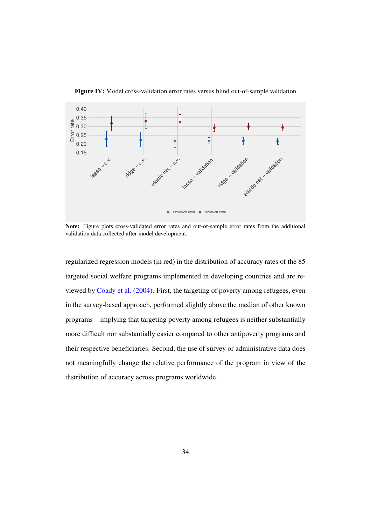

Figure IV: Model cross-validation error rates versus blind out-of-sample validation

Note: Figure plots cross-validated error rates and out-of-sample error rates from the additional validation data collected after model development.

regularized regression models (in red) in the distribution of accuracy rates of the 85 targeted social welfare programs implemented in developing countries and are reviewed by Coady et al. (2004). First, the targeting of poverty among refugees, even in the survey-based approach, performed slightly above the median of other known programs – implying that targeting poverty among refugees is neither substantially more difficult nor substantially easier compared to other antipoverty programs and their respective beneficiaries. Second, the use of survey or administrative data does not meaningfully change the relative performance of the program in view of the distribution of accuracy across programs worldwide.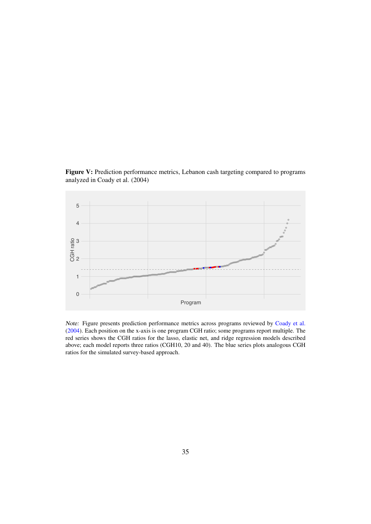Figure V: Prediction performance metrics, Lebanon cash targeting compared to programs analyzed in Coady et al. (2004)



*Note:* Figure presents prediction performance metrics across programs reviewed by Coady et al. (2004). Each position on the x-axis is one program CGH ratio; some programs report multiple. The red series shows the CGH ratios for the lasso, elastic net, and ridge regression models described above; each model reports three ratios (CGH10, 20 and 40). The blue series plots analogous CGH ratios for the simulated survey-based approach.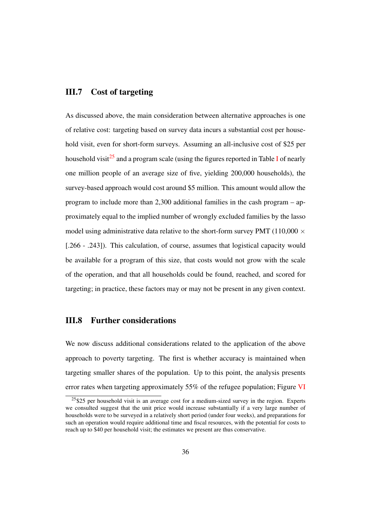#### III.7 Cost of targeting

As discussed above, the main consideration between alternative approaches is one of relative cost: targeting based on survey data incurs a substantial cost per household visit, even for short-form surveys. Assuming an all-inclusive cost of \$25 per household visit<sup>25</sup> and a program scale (using the figures reported in Table I of nearly one million people of an average size of five, yielding 200,000 households), the survey-based approach would cost around \$5 million. This amount would allow the program to include more than 2,300 additional families in the cash program – approximately equal to the implied number of wrongly excluded families by the lasso model using administrative data relative to the short-form survey PMT (110,000  $\times$ [.266 - .243]). This calculation, of course, assumes that logistical capacity would be available for a program of this size, that costs would not grow with the scale of the operation, and that all households could be found, reached, and scored for targeting; in practice, these factors may or may not be present in any given context.

#### III.8 Further considerations

We now discuss additional considerations related to the application of the above approach to poverty targeting. The first is whether accuracy is maintained when targeting smaller shares of the population. Up to this point, the analysis presents error rates when targeting approximately 55% of the refugee population; Figure VI

 $25$  per household visit is an average cost for a medium-sized survey in the region. Experts we consulted suggest that the unit price would increase substantially if a very large number of households were to be surveyed in a relatively short period (under four weeks), and preparations for such an operation would require additional time and fiscal resources, with the potential for costs to reach up to \$40 per household visit; the estimates we present are thus conservative.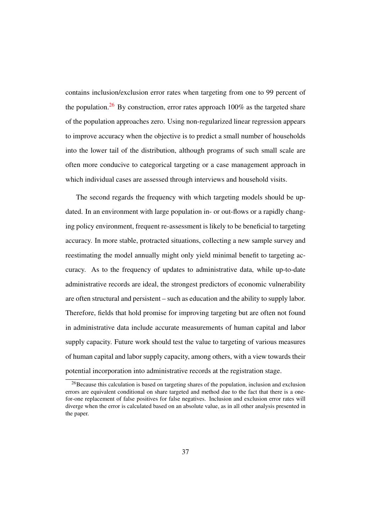contains inclusion/exclusion error rates when targeting from one to 99 percent of the population.<sup>26</sup> By construction, error rates approach  $100\%$  as the targeted share of the population approaches zero. Using non-regularized linear regression appears to improve accuracy when the objective is to predict a small number of households into the lower tail of the distribution, although programs of such small scale are often more conducive to categorical targeting or a case management approach in which individual cases are assessed through interviews and household visits.

The second regards the frequency with which targeting models should be updated. In an environment with large population in- or out-flows or a rapidly changing policy environment, frequent re-assessment is likely to be beneficial to targeting accuracy. In more stable, protracted situations, collecting a new sample survey and reestimating the model annually might only yield minimal benefit to targeting accuracy. As to the frequency of updates to administrative data, while up-to-date administrative records are ideal, the strongest predictors of economic vulnerability are often structural and persistent – such as education and the ability to supply labor. Therefore, fields that hold promise for improving targeting but are often not found in administrative data include accurate measurements of human capital and labor supply capacity. Future work should test the value to targeting of various measures of human capital and labor supply capacity, among others, with a view towards their potential incorporation into administrative records at the registration stage.

 $^{26}$ Because this calculation is based on targeting shares of the population, inclusion and exclusion errors are equivalent conditional on share targeted and method due to the fact that there is a onefor-one replacement of false positives for false negatives. Inclusion and exclusion error rates will diverge when the error is calculated based on an absolute value, as in all other analysis presented in the paper.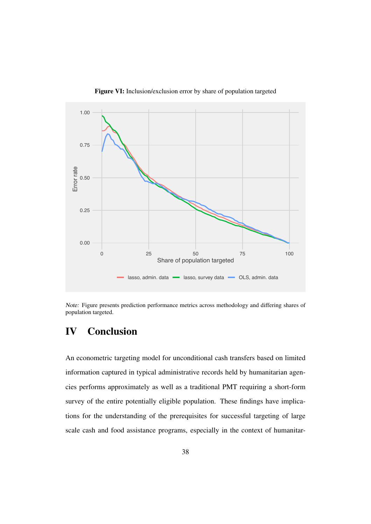

Figure VI: Inclusion/exclusion error by share of population targeted

*Note:* Figure presents prediction performance metrics across methodology and differing shares of population targeted.

## IV Conclusion

An econometric targeting model for unconditional cash transfers based on limited information captured in typical administrative records held by humanitarian agencies performs approximately as well as a traditional PMT requiring a short-form survey of the entire potentially eligible population. These findings have implications for the understanding of the prerequisites for successful targeting of large scale cash and food assistance programs, especially in the context of humanitar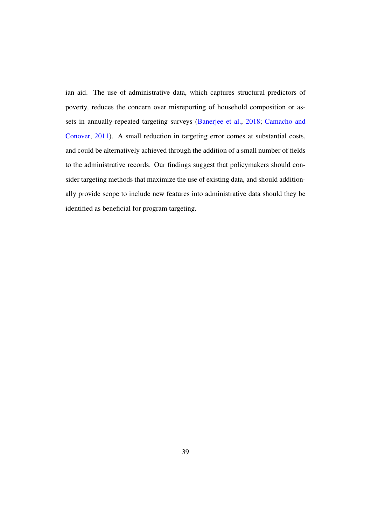ian aid. The use of administrative data, which captures structural predictors of poverty, reduces the concern over misreporting of household composition or assets in annually-repeated targeting surveys (Banerjee et al., 2018; Camacho and Conover, 2011). A small reduction in targeting error comes at substantial costs, and could be alternatively achieved through the addition of a small number of fields to the administrative records. Our findings suggest that policymakers should consider targeting methods that maximize the use of existing data, and should additionally provide scope to include new features into administrative data should they be identified as beneficial for program targeting.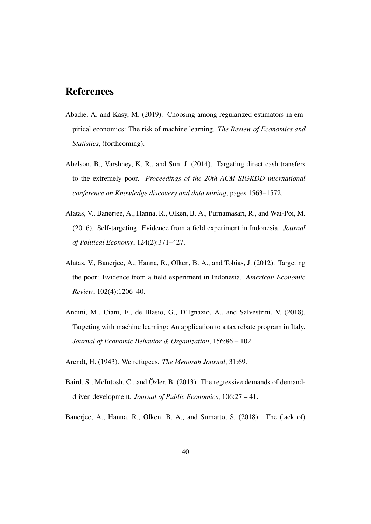### References

- Abadie, A. and Kasy, M. (2019). Choosing among regularized estimators in empirical economics: The risk of machine learning. *The Review of Economics and Statistics*, (forthcoming).
- Abelson, B., Varshney, K. R., and Sun, J. (2014). Targeting direct cash transfers to the extremely poor. *Proceedings of the 20th ACM SIGKDD international conference on Knowledge discovery and data mining*, pages 1563–1572.
- Alatas, V., Banerjee, A., Hanna, R., Olken, B. A., Purnamasari, R., and Wai-Poi, M. (2016). Self-targeting: Evidence from a field experiment in Indonesia. *Journal of Political Economy*, 124(2):371–427.
- Alatas, V., Banerjee, A., Hanna, R., Olken, B. A., and Tobias, J. (2012). Targeting the poor: Evidence from a field experiment in Indonesia. *American Economic Review*, 102(4):1206–40.
- Andini, M., Ciani, E., de Blasio, G., D'Ignazio, A., and Salvestrini, V. (2018). Targeting with machine learning: An application to a tax rebate program in Italy. *Journal of Economic Behavior & Organization*, 156:86 – 102.
- Arendt, H. (1943). We refugees. *The Menorah Journal*, 31:69.
- Baird, S., McIntosh, C., and Özler, B. (2013). The regressive demands of demanddriven development. *Journal of Public Economics*, 106:27 – 41.
- Banerjee, A., Hanna, R., Olken, B. A., and Sumarto, S. (2018). The (lack of)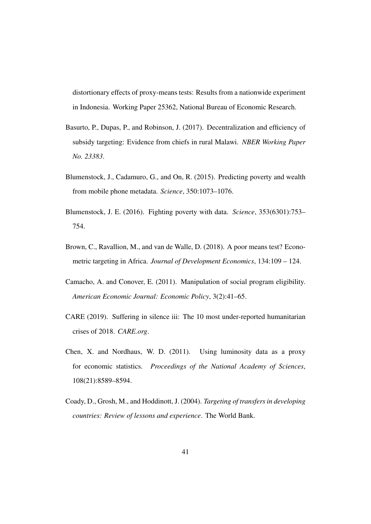distortionary effects of proxy-means tests: Results from a nationwide experiment in Indonesia. Working Paper 25362, National Bureau of Economic Research.

- Basurto, P., Dupas, P., and Robinson, J. (2017). Decentralization and efficiency of subsidy targeting: Evidence from chiefs in rural Malawi. *NBER Working Paper No. 23383*.
- Blumenstock, J., Cadamuro, G., and On, R. (2015). Predicting poverty and wealth from mobile phone metadata. *Science*, 350:1073–1076.
- Blumenstock, J. E. (2016). Fighting poverty with data. *Science*, 353(6301):753– 754.
- Brown, C., Ravallion, M., and van de Walle, D. (2018). A poor means test? Econometric targeting in Africa. *Journal of Development Economics*, 134:109 – 124.
- Camacho, A. and Conover, E. (2011). Manipulation of social program eligibility. *American Economic Journal: Economic Policy*, 3(2):41–65.
- CARE (2019). Suffering in silence iii: The 10 most under-reported humanitarian crises of 2018. *CARE.org*.
- Chen, X. and Nordhaus, W. D. (2011). Using luminosity data as a proxy for economic statistics. *Proceedings of the National Academy of Sciences*, 108(21):8589–8594.
- Coady, D., Grosh, M., and Hoddinott, J. (2004). *Targeting of transfers in developing countries: Review of lessons and experience*. The World Bank.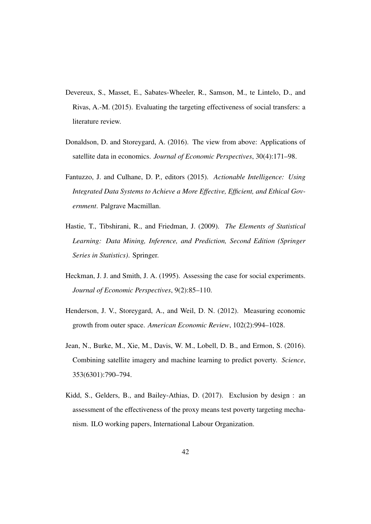- Devereux, S., Masset, E., Sabates-Wheeler, R., Samson, M., te Lintelo, D., and Rivas, A.-M. (2015). Evaluating the targeting effectiveness of social transfers: a literature review.
- Donaldson, D. and Storeygard, A. (2016). The view from above: Applications of satellite data in economics. *Journal of Economic Perspectives*, 30(4):171–98.
- Fantuzzo, J. and Culhane, D. P., editors (2015). *Actionable Intelligence: Using Integrated Data Systems to Achieve a More Effective, Efficient, and Ethical Government*. Palgrave Macmillan.
- Hastie, T., Tibshirani, R., and Friedman, J. (2009). *The Elements of Statistical Learning: Data Mining, Inference, and Prediction, Second Edition (Springer Series in Statistics)*. Springer.
- Heckman, J. J. and Smith, J. A. (1995). Assessing the case for social experiments. *Journal of Economic Perspectives*, 9(2):85–110.
- Henderson, J. V., Storeygard, A., and Weil, D. N. (2012). Measuring economic growth from outer space. *American Economic Review*, 102(2):994–1028.
- Jean, N., Burke, M., Xie, M., Davis, W. M., Lobell, D. B., and Ermon, S. (2016). Combining satellite imagery and machine learning to predict poverty. *Science*, 353(6301):790–794.
- Kidd, S., Gelders, B., and Bailey-Athias, D. (2017). Exclusion by design : an assessment of the effectiveness of the proxy means test poverty targeting mechanism. ILO working papers, International Labour Organization.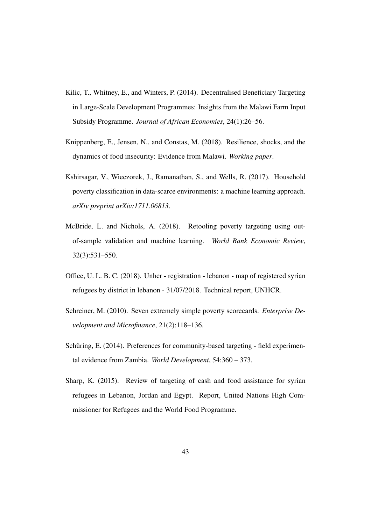- Kilic, T., Whitney, E., and Winters, P. (2014). Decentralised Beneficiary Targeting in Large-Scale Development Programmes: Insights from the Malawi Farm Input Subsidy Programme. *Journal of African Economies*, 24(1):26–56.
- Knippenberg, E., Jensen, N., and Constas, M. (2018). Resilience, shocks, and the dynamics of food insecurity: Evidence from Malawi. *Working paper*.
- Kshirsagar, V., Wieczorek, J., Ramanathan, S., and Wells, R. (2017). Household poverty classification in data-scarce environments: a machine learning approach. *arXiv preprint arXiv:1711.06813*.
- McBride, L. and Nichols, A. (2018). Retooling poverty targeting using outof-sample validation and machine learning. *World Bank Economic Review*, 32(3):531–550.
- Office, U. L. B. C. (2018). Unhcr registration lebanon map of registered syrian refugees by district in lebanon - 31/07/2018. Technical report, UNHCR.
- Schreiner, M. (2010). Seven extremely simple poverty scorecards. *Enterprise Development and Microfinance*, 21(2):118–136.
- Schüring, E. (2014). Preferences for community-based targeting field experimental evidence from Zambia. *World Development*, 54:360 – 373.
- Sharp, K. (2015). Review of targeting of cash and food assistance for syrian refugees in Lebanon, Jordan and Egypt. Report, United Nations High Commissioner for Refugees and the World Food Programme.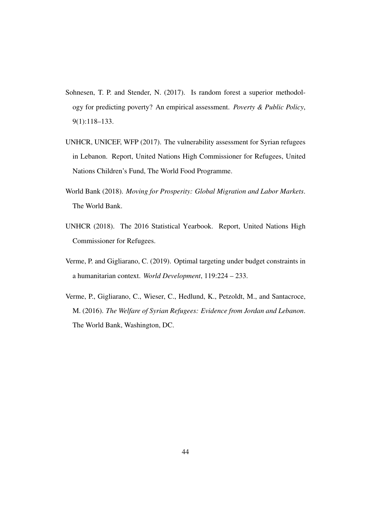- Sohnesen, T. P. and Stender, N. (2017). Is random forest a superior methodology for predicting poverty? An empirical assessment. *Poverty & Public Policy*, 9(1):118–133.
- UNHCR, UNICEF, WFP (2017). The vulnerability assessment for Syrian refugees in Lebanon. Report, United Nations High Commissioner for Refugees, United Nations Children's Fund, The World Food Programme.
- World Bank (2018). *Moving for Prosperity: Global Migration and Labor Markets*. The World Bank.
- UNHCR (2018). The 2016 Statistical Yearbook. Report, United Nations High Commissioner for Refugees.
- Verme, P. and Gigliarano, C. (2019). Optimal targeting under budget constraints in a humanitarian context. *World Development*, 119:224 – 233.
- Verme, P., Gigliarano, C., Wieser, C., Hedlund, K., Petzoldt, M., and Santacroce, M. (2016). *The Welfare of Syrian Refugees: Evidence from Jordan and Lebanon*. The World Bank, Washington, DC.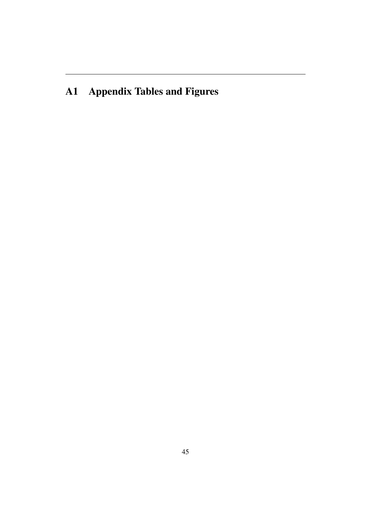## A1 Appendix Tables and Figures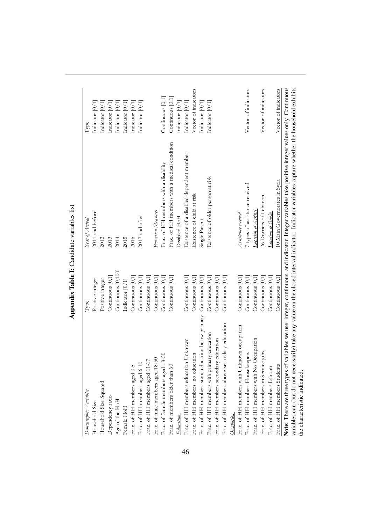| Demographic Variables                                                                                                                                | Type               | Year of Arrival                              | Type                 |
|------------------------------------------------------------------------------------------------------------------------------------------------------|--------------------|----------------------------------------------|----------------------|
| Household Size                                                                                                                                       | Positive integer   | 2011 and before                              | Indicator [0/1]      |
| Household Size Squared                                                                                                                               | Positive integer   | 2012                                         | Indicator [0/1]      |
| Dependency ratio                                                                                                                                     | Continuous [0,1]   | 2013                                         | Indicator [0/1]      |
| Age of the HoH                                                                                                                                       | Continuous [0,100] | 2014                                         | Indicator [0/1]      |
| Female HoH                                                                                                                                           | Indicator [0/1]    | 2015                                         | Indicator [0/1]      |
| Frac. of HH members aged 0-5                                                                                                                         | Continuous [0,1]   | 2016                                         | Indicator [0/1]      |
| Frac. of HH members aged 6-10                                                                                                                        | Continuous [0,1]   | 2017 and after                               | Indicator [0/1]      |
| Frac. of HH members aged 11-17                                                                                                                       | Continuous [0,1]   |                                              |                      |
| Frac. of male members aged 18-50                                                                                                                     | Continuous [0,1]   | Protection Measures                          |                      |
| $-50$<br>Frac. of female members aged 18-                                                                                                            | Continuous [0,1]   | Frac. of HH members with a disability        | Continuous [0,1]     |
| Frac. of members older than 60                                                                                                                       | Continuous [0,1]   | Frac. of HH members with a medical condition | Continuous [0,1]     |
| <b>Education</b>                                                                                                                                     |                    | Disabled HoH                                 | Indicator [0/1]      |
| Frac. of HH members education Unknown                                                                                                                | Continuous [0,1]   | Existence of a disabled dependent member     | Indicator [0/1]      |
| Frac. of HH members no education                                                                                                                     | Continuous [0,1]   | Existence of child at risk                   | Vector of indicators |
| Frac. of HH members some education below primary                                                                                                     | Continuous [0,1]   | Single Parent                                | Indicator [0/1]      |
| Frac. of HH members with primary education                                                                                                           | Continuous [0,1]   | Existence of older person at risk            | Indicator [0/1]      |
| Frac. of HH members secondary education                                                                                                              | Continuous [0,1]   |                                              |                      |
| Frac. of HH members above secondary education                                                                                                        | Continuous [0,1]   |                                              |                      |
| Occupation                                                                                                                                           |                    |                                              |                      |
| Frac. of HH members with Unknown occupation                                                                                                          | Continuous [0,1]   | Assistance received                          |                      |
| Frac. of HH members Housekeepers                                                                                                                     | Continuous [0,1]   | 7 types of assistance received               | Vector of indicators |
| Frac. of HH members with No Occupation                                                                                                               | Continuous [0,1]   | Location of Arrival                          |                      |
| Frac. of HH members in Service jobs                                                                                                                  | Continuous [0,1]   | 26 Districts of Lebanon                      | Vector of indicators |
| Frac. of HH members Laborer                                                                                                                          | Continuous [0,1]   | Location of Origin                           |                      |
| Frac. of HH members Students                                                                                                                         | Continuous $[0,1]$ | 10 Main Governorates in Syria                | Vector of indicators |
| Note: There are three types of variables we use: integer, continuous, and indicator. Integer variables take positive integer values only. Continuous |                    |                                              |                      |
| variables can (but do not necessarily) take any value on the closed interval indicator. Indicator variables capture whether the household exhibits   |                    |                                              |                      |
| the characteristic indicated.                                                                                                                        |                    |                                              |                      |

Appendix Table I: Candidate variables list Appendix Table I: Candidate variables list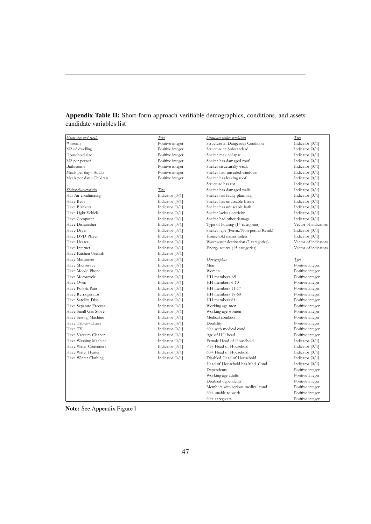#### Appendix Table II: Short-form approach verifiable demographics, conditions, and assets candidate variables list

| Home size and meals      | $T$ <i>v</i> $be$ | Structure/shelter conditions          | Type                 |
|--------------------------|-------------------|---------------------------------------|----------------------|
| # rooms                  | Positive integer  | Structure in Dangerous Condition      | Indicator $[0/1]$    |
| M2 of dwelling           | Positive integer  | Structure in Substandard              | Indicator $[0/1]$    |
| Household size           | Positive integer  | Shelter may collapse                  | Indicator $[0/1]$    |
| M2 per person            | Positive integer  | Shelter has damaged roof              | Indicator $[0/1]$    |
| Bathrooms                | Positive integer  | Shelter structurally weak             | Indicator $[0/1]$    |
| Meals per day - Adults   | Positive integer  | Shelter had unsealed windows          | Indicator $[0/1]$    |
| Meals per day - Children | Positive integer  | Shelter has leaking roof              | Indicator $[0/1]$    |
|                          |                   | Structure has rot                     | Indicator $[0/1]$    |
| Shelter characteristics  | <b>Type</b>       | Shelter has damaged walls             | Indicator $[0/1]$    |
| Has Air conditioning     | Indicator $[0/1]$ | Shelter has faulty plumbing           | Indicator $[0/1]$    |
| Have Beds                | Indicator $[0/1]$ | Shelter has unuseable latrine         | Indicator $[0/1]$    |
| Have Blankets            | Indicator $[0/1]$ | Shelter has unuseable bath            | Indicator $[0/1]$    |
| Have Light Vehicle       | Indicator $[0/1]$ | Shelter lacks electricity             | Indicator $[0/1]$    |
| Have Computer            | Indicator $[0/1]$ | Shelter had other damage              | Indicator $[0/1]$    |
| Have Dishwasher          | Indicator $[0/1]$ | Type of housing (14 categories)       | Vector of indicators |
| Have Dryer               | Indicator $[0/1]$ | Shelter type (Perm./Non-perm./Resid.) | Indicator $[0/1]$    |
| Have DVD Player          | Indicator $[0/1]$ | Household shares toilets              | Indicator $[0/1]$    |
| Have Heater              | Indicator $[0/1]$ | Wastewater destination (7 categories) | Vector of indicators |
| Have Internet            | Indicator $[0/1]$ | Energy source (15 categories)         | Vector of indicators |
| Have Kitchen Utensils    | Indicator $[0/1]$ |                                       |                      |
| <b>Have Mattresses</b>   | Indicator $[0/1]$ | Demographics                          | Type                 |
| Have Microwave           | Indicator $[0/1]$ | Men                                   | Positive integer     |
| Have Mobile Phone        | Indicator $[0/1]$ | Women                                 | Positive integer     |
| Have Motorcycle          | Indicator $[0/1]$ | HH members <5                         | Positive integer     |
| Have Oven                | Indicator $[0/1]$ | HH members 6-10                       | Positive integer     |
| Have Pots & Pans         | Indicator $[0/1]$ | HH members 11-17                      | Positive integer     |
| Have Refridgerator       | Indicator $[0/1]$ | HH members 18-60                      | Positive integer     |
| Have Satellite Dish      | Indicator $[0/1]$ | HH members $61+$                      | Positive integer     |
| Have Separate Freezer    | Indicator $[0/1]$ | Working-age men                       | Positive integer     |
| Have Small Gas Stove     | Indicator $[0/1]$ | Working-age women                     | Positive integer     |
| Have Sewing Machine      | Indicator $[0/1]$ | Medical condition                     | Positive integer     |
| Have Tables+Chairs       | Indicator $[0/1]$ | Disability                            | Positive integer     |
| Have TV                  | Indicator $[0/1]$ | $60+$ with medical cond.              | Positive integer     |
| Have Vacuum Cleaner      | Indicator $[0/1]$ | Age of HH head                        | Positive integer     |
| Have Washing Machine     | Indicator $[0/1]$ | Female Head of Household              | Indicator $[0/1]$    |
| Have Water Containers    | Indicator $[0/1]$ | <18 Head of Household                 | Indicator $[0/1]$    |
| Have Water Heater        | Indicator $[0/1]$ | 60+ Head of Household                 | Indicator $[0/1]$    |
| Have Winter Clothing     | Indicator $[0/1]$ | Disabled Head of Household            | Indicator $[0/1]$    |
|                          |                   | Head of Household has Med. Cond.      | Indicator $[0/1]$    |
|                          |                   | Dependents                            | Positive integer     |
|                          |                   | Working-age adults                    | Positive integer     |
|                          |                   | Disabled dependents                   | Positive integer     |
|                          |                   | Members with serious medical cond.    | Positive integer     |
|                          |                   | $60+$ unable to work                  | Positive integer     |
|                          |                   | $60+$ caregivers                      | Positive integer     |

Note: See Appendix Figure I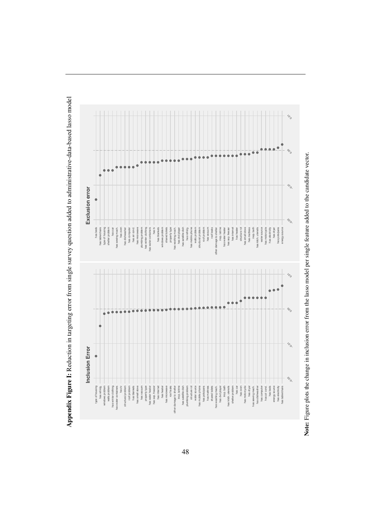$\mathcal{L}_{\hat{\mathcal{O}}_{\hat{\mathcal{O}}}}$ {0.0<br>00.000 0.000 0.000 io, **Exclusion error Exclusion error** S. has electricity<br>has dryer<br>has pots/pans<br>energy source has table/chairs<br>type of housing<br>shelter problem has sewing mach.<br>
has dishwasher<br>
has dishwasher<br>
has computer<br>
has air cond.<br>
has air cond.<br>
has mig problem<br>
plumbing problem<br>
plumbing problem<br>
plumbing problem windows problem<br>shared toilets<br>property type has refridg.<br>has mobile phone<br>walls problem<br>structural problem inop. latrine<br>has water heater<br>has sep. freezer<br>has internet<br>has heater structure rot<br>has small stove<br>has mattress inop. bath<br>has kitch. utensils<br>water source has washing mach.<br>has dvd player<br>has satellite dish has beds roof leaks has table/chairs type of housing shelter problem has car has sewing mach. has dishwasher has computer has air cond. has microwave plumbing problem has winter clothing has water containers has blankets windows problem shared toilets property type has washing mach. has dvd player has satellite dish has refridg. has mobile phone walls problem structural problem roof problem has vacuum has vacuum other damage to shelter inop. latrine has water heater has sep. freezer has internet has heater structure rot has small stove has mattress has kitch. utensils water source has motorcycle has electricity has pots/pans energy source as water containers has blankets other damage to shelter has motorcycle roof problem  $\mathcal{L}_{\hat{O}}$ −0.02 −0.01 0.00 0.01 ò ò ò Ŷ Inclusion Error **Inclusion Error** ð, structural problem<br>
roof problem<br>
roof problem<br>
roof problem<br>
roof problem<br>
roof problem<br>
roof problem<br>
roof problem<br>
roof problem<br>
roof problem<br>
roof problem<br>
roof problem<br>
roof problem<br>
roof problem<br>
roof problem<br>
roof rias refridgi.<br>windows problem<br>walls problem<br>has winter dothing<br>has water containers has washing mach.<br>has dvd player<br>inop. bath nas kitch, utensiis<br>shelter problem<br>shelter problem<br>has car has motorcycle<br>has dryer has sewing mach.<br>has dishwasher<br>has computer has beds<br>energy source<br>has electricity<br>has table/chairs type of housing has tv has oven has air cond. type of housing has refridg. windows problem walls problem has winter clothing has water containers structural problem roof problem has blankets has small stove has vacuum property type has water heater has sep. freezer has internet has heater has microwave other damage to shelter inop. latrine has satellite dish plumbing problem structure rot water source has mobile phone has pots/pans has mattress shared toilets has washing mach. has dvd player has kitch. utensils shelter problem has motorcycle has sewing mach. has dishwasher has computer has air cond. energy source has electricity has table/chairs

Appendix Figure I: Reduction in targeting error from single survey question added to administrative-data-based lasso model Appendix Figure I: Reduction in targeting error from single survey question added to administrative-data-based lasso model

Note: Figure plots the change in inclusion error from the lasso model per single feature added to the candidate vector. Note: Figure plots the change in inclusion error from the lasso model per single feature added to the candidate vector.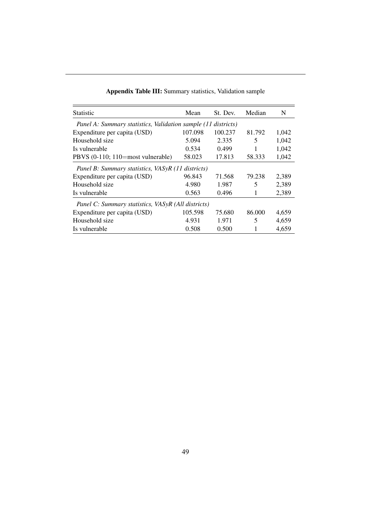| <b>Statistic</b>                                              | Mean    | St. Dev. | Median | N     |
|---------------------------------------------------------------|---------|----------|--------|-------|
| Panel A: Summary statistics, Validation sample (11 districts) |         |          |        |       |
| Expenditure per capita (USD)                                  | 107.098 | 100.237  | 81.792 | 1,042 |
| Household size                                                | 5.094   | 2.335    | 5      | 1,042 |
| Is vulnerable                                                 | 0.534   | 0.499    |        | 1,042 |
| PBVS (0-110; 110=most vulnerable)                             | 58.023  | 17.813   | 58.333 | 1,042 |
| Panel B: Summary statistics, VASyR (11 districts)             |         |          |        |       |
| Expenditure per capita (USD)                                  | 96.843  | 71.568   | 79.238 | 2,389 |
| Household size                                                | 4.980   | 1.987    | 5      | 2,389 |
| Is vulnerable                                                 | 0.563   | 0.496    | 1      | 2,389 |
| Panel C: Summary statistics, VASyR (All districts)            |         |          |        |       |
| Expenditure per capita (USD)                                  | 105.598 | 75.680   | 86.000 | 4,659 |
| Household size                                                | 4.931   | 1.971    | 5      | 4,659 |
| Is vulnerable                                                 | 0.508   | 0.500    |        | 4,659 |

Appendix Table III: Summary statistics, Validation sample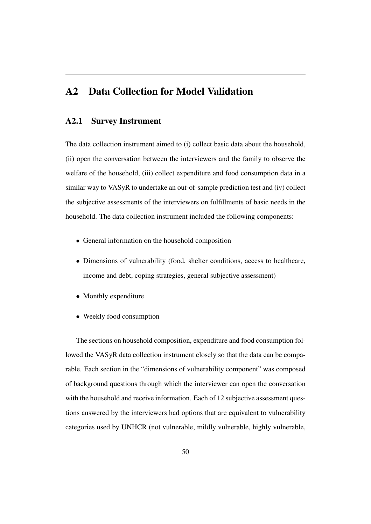## A2 Data Collection for Model Validation

#### A2.1 Survey Instrument

The data collection instrument aimed to (i) collect basic data about the household, (ii) open the conversation between the interviewers and the family to observe the welfare of the household, (iii) collect expenditure and food consumption data in a similar way to VASyR to undertake an out-of-sample prediction test and (iv) collect the subjective assessments of the interviewers on fulfillments of basic needs in the household. The data collection instrument included the following components:

- *•* General information on the household composition
- Dimensions of vulnerability (food, shelter conditions, access to healthcare, income and debt, coping strategies, general subjective assessment)
- Monthly expenditure
- *•* Weekly food consumption

The sections on household composition, expenditure and food consumption followed the VASyR data collection instrument closely so that the data can be comparable. Each section in the "dimensions of vulnerability component" was composed of background questions through which the interviewer can open the conversation with the household and receive information. Each of 12 subjective assessment questions answered by the interviewers had options that are equivalent to vulnerability categories used by UNHCR (not vulnerable, mildly vulnerable, highly vulnerable,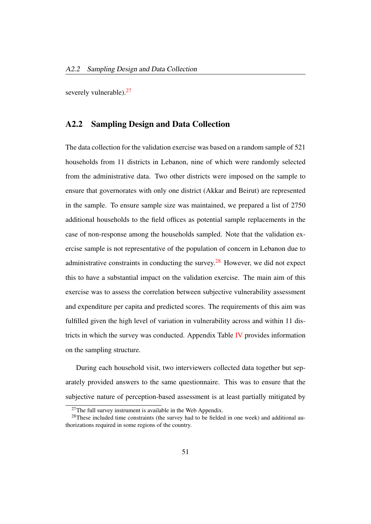severely vulnerable).<sup>27</sup>

#### A2.2 Sampling Design and Data Collection

The data collection for the validation exercise was based on a random sample of 521 households from 11 districts in Lebanon, nine of which were randomly selected from the administrative data. Two other districts were imposed on the sample to ensure that governorates with only one district (Akkar and Beirut) are represented in the sample. To ensure sample size was maintained, we prepared a list of 2750 additional households to the field offices as potential sample replacements in the case of non-response among the households sampled. Note that the validation exercise sample is not representative of the population of concern in Lebanon due to administrative constraints in conducting the survey.<sup>28</sup> However, we did not expect this to have a substantial impact on the validation exercise. The main aim of this exercise was to assess the correlation between subjective vulnerability assessment and expenditure per capita and predicted scores. The requirements of this aim was fulfilled given the high level of variation in vulnerability across and within 11 districts in which the survey was conducted. Appendix Table IV provides information on the sampling structure.

During each household visit, two interviewers collected data together but separately provided answers to the same questionnaire. This was to ensure that the subjective nature of perception-based assessment is at least partially mitigated by

 $27$ The full survey instrument is available in the Web Appendix.

 $28$ These included time constraints (the survey had to be fielded in one week) and additional authorizations required in some regions of the country.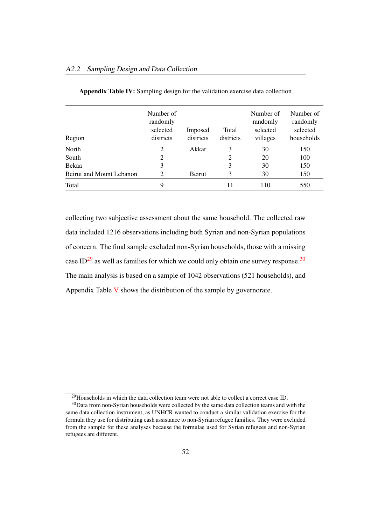| Region                   | Number of<br>randomly<br>selected<br>districts | Imposed<br>districts | Total<br>districts | Number of<br>randomly<br>selected<br>villages | Number of<br>randomly<br>selected<br>households |
|--------------------------|------------------------------------------------|----------------------|--------------------|-----------------------------------------------|-------------------------------------------------|
| North                    | 2                                              | Akkar                | 3                  | 30                                            | 150                                             |
| South                    | 2                                              |                      | 2                  | 20                                            | 100                                             |
| Bekaa                    | 3                                              |                      | 3                  | 30                                            | 150                                             |
| Beirut and Mount Lebanon | 2                                              | Beirut               | 3                  | 30                                            | 150                                             |
| Total                    | 9                                              |                      |                    | 110                                           | 550                                             |

Appendix Table IV: Sampling design for the validation exercise data collection

collecting two subjective assessment about the same household. The collected raw data included 1216 observations including both Syrian and non-Syrian populations of concern. The final sample excluded non-Syrian households, those with a missing case  $ID^{29}$  as well as families for which we could only obtain one survey response.<sup>30</sup> The main analysis is based on a sample of 1042 observations (521 households), and Appendix Table V shows the distribution of the sample by governorate.

<sup>&</sup>lt;sup>29</sup>Households in which the data collection team were not able to collect a correct case ID.

<sup>30</sup>Data from non-Syrian households were collected by the same data collection teams and with the same data collection instrument, as UNHCR wanted to conduct a similar validation exercise for the formula they use for distributing cash assistance to non-Syrian refugee families. They were excluded from the sample for these analyses because the formulae used for Syrian refugees and non-Syrian refugees are different.